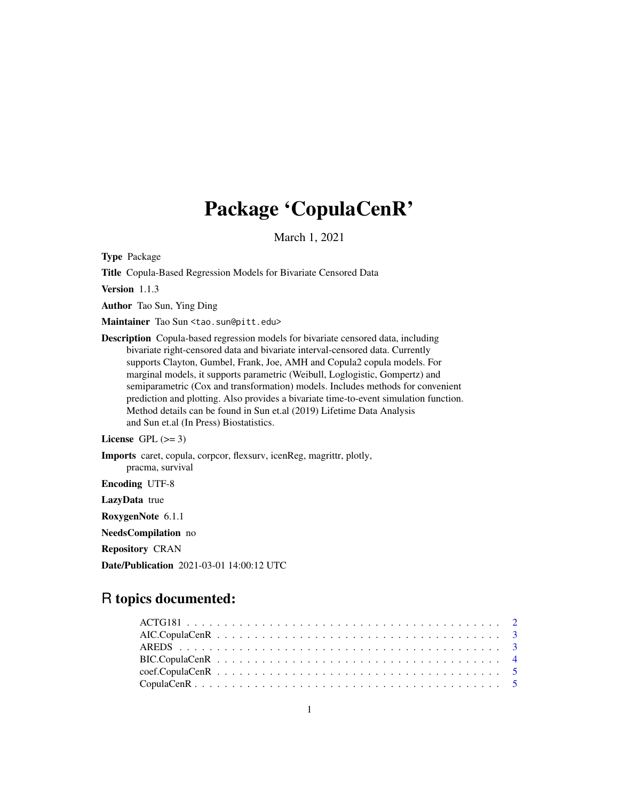## Package 'CopulaCenR'

March 1, 2021

Type Package

Title Copula-Based Regression Models for Bivariate Censored Data

Version 1.1.3

Author Tao Sun, Ying Ding

Maintainer Tao Sun <tao.sun@pitt.edu>

Description Copula-based regression models for bivariate censored data, including bivariate right-censored data and bivariate interval-censored data. Currently supports Clayton, Gumbel, Frank, Joe, AMH and Copula2 copula models. For marginal models, it supports parametric (Weibull, Loglogistic, Gompertz) and semiparametric (Cox and transformation) models. Includes methods for convenient prediction and plotting. Also provides a bivariate time-to-event simulation function. Method details can be found in Sun et.al (2019) Lifetime Data Analysis and Sun et.al (In Press) Biostatistics.

License GPL  $(>= 3)$ 

Imports caret, copula, corpcor, flexsurv, icenReg, magrittr, plotly, pracma, survival

Encoding UTF-8

LazyData true

RoxygenNote 6.1.1

NeedsCompilation no

Repository CRAN

Date/Publication 2021-03-01 14:00:12 UTC

## R topics documented: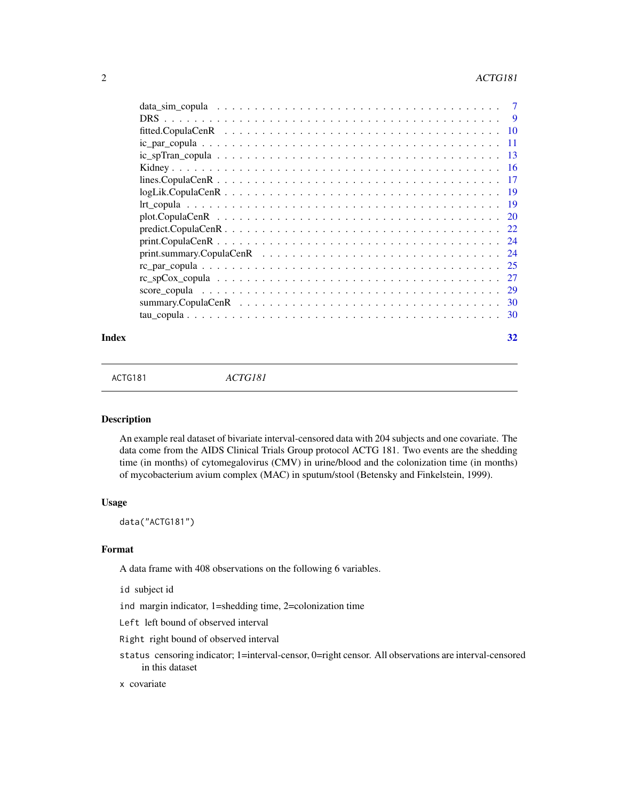<span id="page-1-0"></span>

|                                                                                                                     | 7    |
|---------------------------------------------------------------------------------------------------------------------|------|
|                                                                                                                     | 9    |
|                                                                                                                     | 10   |
|                                                                                                                     | 11   |
|                                                                                                                     | 13   |
|                                                                                                                     | -16  |
|                                                                                                                     | 17   |
| $logLik$ . Copula CenR $\ldots \ldots \ldots \ldots \ldots \ldots \ldots \ldots \ldots \ldots \ldots \ldots \ldots$ | 19   |
|                                                                                                                     | -19  |
|                                                                                                                     | 20   |
|                                                                                                                     | 22   |
|                                                                                                                     | -24  |
|                                                                                                                     | 24   |
|                                                                                                                     | 25   |
|                                                                                                                     | 27   |
|                                                                                                                     | 29   |
|                                                                                                                     | - 30 |
|                                                                                                                     | 30   |
|                                                                                                                     |      |

#### **Index** [32](#page-31-0)

ACTG181 *ACTG181*

## Description

An example real dataset of bivariate interval-censored data with 204 subjects and one covariate. The data come from the AIDS Clinical Trials Group protocol ACTG 181. Two events are the shedding time (in months) of cytomegalovirus (CMV) in urine/blood and the colonization time (in months) of mycobacterium avium complex (MAC) in sputum/stool (Betensky and Finkelstein, 1999).

#### Usage

data("ACTG181")

## Format

A data frame with 408 observations on the following 6 variables.

id subject id

ind margin indicator, 1=shedding time, 2=colonization time

Left left bound of observed interval

Right right bound of observed interval

status censoring indicator; 1=interval-censor, 0=right censor. All observations are interval-censored in this dataset

## x covariate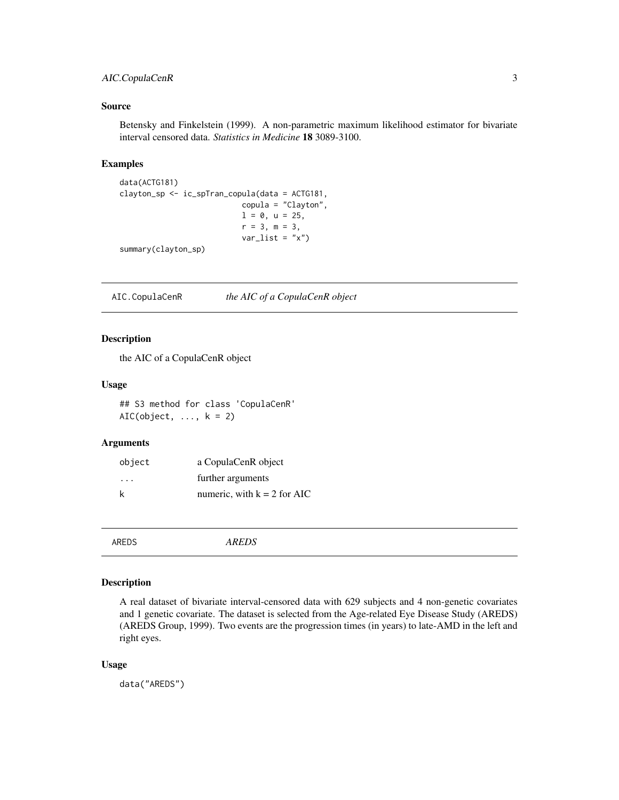## <span id="page-2-0"></span>AIC.CopulaCenR 3

## Source

Betensky and Finkelstein (1999). A non-parametric maximum likelihood estimator for bivariate interval censored data. *Statistics in Medicine* 18 3089-3100.

## Examples

```
data(ACTG181)
clayton_sp <- ic_spTran_copula(data = ACTG181,
                           copula = "Clayton",
                           1 = 0, u = 25,
                           r = 3, m = 3,var\_list = "x")
```
summary(clayton\_sp)

AIC.CopulaCenR *the AIC of a CopulaCenR object*

## Description

the AIC of a CopulaCenR object

## Usage

## S3 method for class 'CopulaCenR' AIC(object,  $\dots$ ,  $k = 2$ )

#### Arguments

| object | a CopulaCenR object           |
|--------|-------------------------------|
| .      | further arguments             |
| k      | numeric, with $k = 2$ for AIC |

AREDS *AREDS*

## Description

A real dataset of bivariate interval-censored data with 629 subjects and 4 non-genetic covariates and 1 genetic covariate. The dataset is selected from the Age-related Eye Disease Study (AREDS) (AREDS Group, 1999). Two events are the progression times (in years) to late-AMD in the left and right eyes.

## Usage

data("AREDS")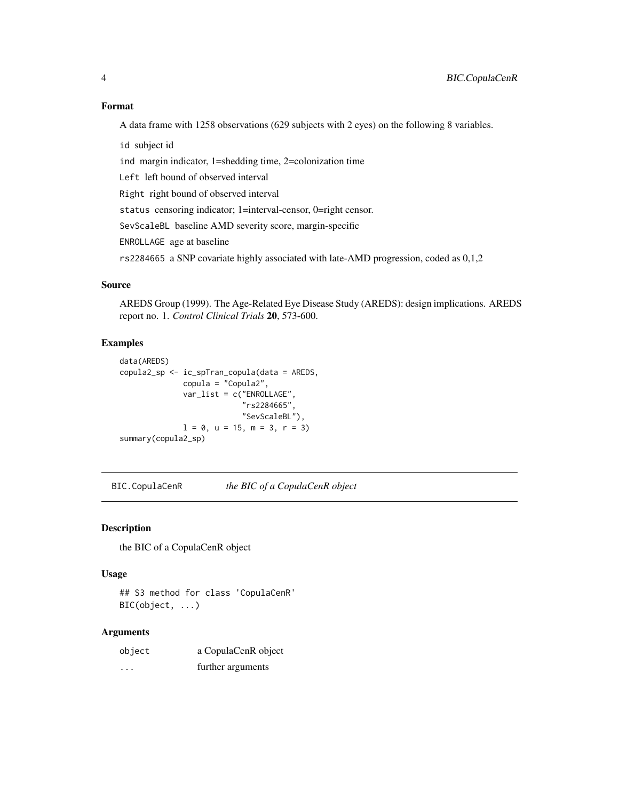## <span id="page-3-0"></span>Format

A data frame with 1258 observations (629 subjects with 2 eyes) on the following 8 variables.

id subject id

ind margin indicator, 1=shedding time, 2=colonization time

Left left bound of observed interval

Right right bound of observed interval

status censoring indicator; 1=interval-censor, 0=right censor.

SevScaleBL baseline AMD severity score, margin-specific

ENROLLAGE age at baseline

rs2284665 a SNP covariate highly associated with late-AMD progression, coded as 0,1,2

## Source

AREDS Group (1999). The Age-Related Eye Disease Study (AREDS): design implications. AREDS report no. 1. *Control Clinical Trials* 20, 573-600.

## Examples

```
data(AREDS)
copula2_sp <- ic_spTran_copula(data = AREDS,
              copula = "Copula2",
              var_list = c("ENROLLAGE",
                           "rs2284665",
                           "SevScaleBL"),
              1 = 0, u = 15, m = 3, r = 3)
summary(copula2_sp)
```
BIC.CopulaCenR *the BIC of a CopulaCenR object*

## Description

the BIC of a CopulaCenR object

## Usage

## S3 method for class 'CopulaCenR' BIC(object, ...)

## Arguments

| object | a CopulaCenR object |
|--------|---------------------|
| .      | further arguments   |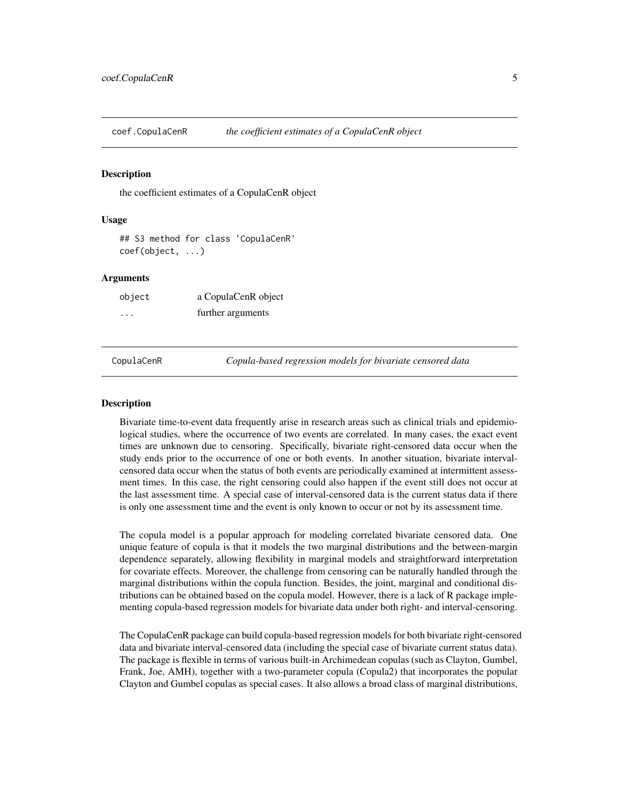<span id="page-4-0"></span>coef.CopulaCenR *the coefficient estimates of a CopulaCenR object*

## Description

the coefficient estimates of a CopulaCenR object

## Usage

## S3 method for class 'CopulaCenR' coef(object, ...)

#### Arguments

| object  | a CopulaCenR object |
|---------|---------------------|
| $\cdot$ | further arguments   |

CopulaCenR *Copula-based regression models for bivariate censored data*

#### **Description**

Bivariate time-to-event data frequently arise in research areas such as clinical trials and epidemiological studies, where the occurrence of two events are correlated. In many cases, the exact event times are unknown due to censoring. Specifically, bivariate right-censored data occur when the study ends prior to the occurrence of one or both events. In another situation, bivariate intervalcensored data occur when the status of both events are periodically examined at intermittent assessment times. In this case, the right censoring could also happen if the event still does not occur at the last assessment time. A special case of interval-censored data is the current status data if there is only one assessment time and the event is only known to occur or not by its assessment time.

The copula model is a popular approach for modeling correlated bivariate censored data. One unique feature of copula is that it models the two marginal distributions and the between-margin dependence separately, allowing flexibility in marginal models and straightforward interpretation for covariate effects. Moreover, the challenge from censoring can be naturally handled through the marginal distributions within the copula function. Besides, the joint, marginal and conditional distributions can be obtained based on the copula model. However, there is a lack of R package implementing copula-based regression models for bivariate data under both right- and interval-censoring.

The CopulaCenR package can build copula-based regression models for both bivariate right-censored data and bivariate interval-censored data (including the special case of bivariate current status data). The package is flexible in terms of various built-in Archimedean copulas (such as Clayton, Gumbel, Frank, Joe, AMH), together with a two-parameter copula (Copula2) that incorporates the popular Clayton and Gumbel copulas as special cases. It also allows a broad class of marginal distributions,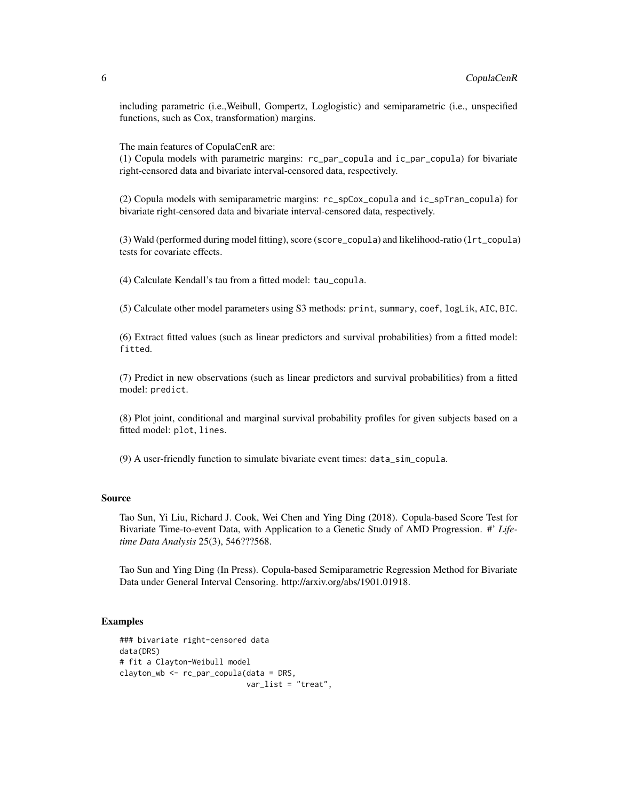including parametric (i.e.,Weibull, Gompertz, Loglogistic) and semiparametric (i.e., unspecified functions, such as Cox, transformation) margins.

The main features of CopulaCenR are:

(1) Copula models with parametric margins: rc\_par\_copula and ic\_par\_copula) for bivariate right-censored data and bivariate interval-censored data, respectively.

(2) Copula models with semiparametric margins: rc\_spCox\_copula and ic\_spTran\_copula) for bivariate right-censored data and bivariate interval-censored data, respectively.

(3) Wald (performed during model fitting), score (score\_copula) and likelihood-ratio (lrt\_copula) tests for covariate effects.

(4) Calculate Kendall's tau from a fitted model: tau\_copula.

(5) Calculate other model parameters using S3 methods: print, summary, coef, logLik, AIC, BIC.

(6) Extract fitted values (such as linear predictors and survival probabilities) from a fitted model: fitted.

(7) Predict in new observations (such as linear predictors and survival probabilities) from a fitted model: predict.

(8) Plot joint, conditional and marginal survival probability profiles for given subjects based on a fitted model: plot, lines.

(9) A user-friendly function to simulate bivariate event times: data\_sim\_copula.

## Source

Tao Sun, Yi Liu, Richard J. Cook, Wei Chen and Ying Ding (2018). Copula-based Score Test for Bivariate Time-to-event Data, with Application to a Genetic Study of AMD Progression. #' *Lifetime Data Analysis* 25(3), 546???568.

Tao Sun and Ying Ding (In Press). Copula-based Semiparametric Regression Method for Bivariate Data under General Interval Censoring. http://arxiv.org/abs/1901.01918.

#### Examples

```
### bivariate right-censored data
data(DRS)
# fit a Clayton-Weibull model
clayton_wb <- rc_par_copula(data = DRS,
                           var_list = "treat",
```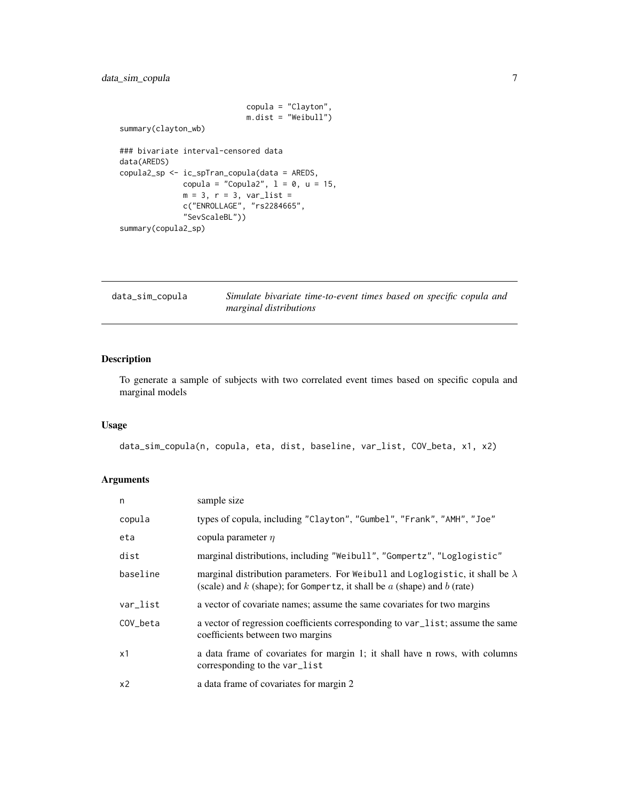## <span id="page-6-0"></span>data\_sim\_copula 7

```
copula = "Clayton",
                            m.dist = "Weibull")
summary(clayton_wb)
### bivariate interval-censored data
data(AREDS)
copula2_sp <- ic_spTran_copula(data = AREDS,
             copula = "Copula2", 1 = 0, u = 15,
             m = 3, r = 3, var\_list =c("ENROLLAGE", "rs2284665",
             "SevScaleBL"))
summary(copula2_sp)
```

| data_sim_copula | Simulate bivariate time-to-event times based on specific copula and |
|-----------------|---------------------------------------------------------------------|
|                 | marginal distributions                                              |

## Description

To generate a sample of subjects with two correlated event times based on specific copula and marginal models

## Usage

```
data_sim_copula(n, copula, eta, dist, baseline, var_list, COV_beta, x1, x2)
```
## Arguments

| n              | sample size                                                                                                                                                           |
|----------------|-----------------------------------------------------------------------------------------------------------------------------------------------------------------------|
| copula         | types of copula, including "Clayton", "Gumbel", "Frank", "AMH", "Joe"                                                                                                 |
| eta            | copula parameter $\eta$                                                                                                                                               |
| dist           | marginal distributions, including "Weibull", "Gompertz", "Loglogistic"                                                                                                |
| baseline       | marginal distribution parameters. For Weibull and Loglogistic, it shall be $\lambda$<br>(scale) and $k$ (shape); for Gompertz, it shall be $a$ (shape) and $b$ (rate) |
| var_list       | a vector of covariate names; assume the same covariates for two margins                                                                                               |
| COV beta       | a vector of regression coefficients corresponding to var_list; assume the same<br>coefficients between two margins                                                    |
| x1             | a data frame of covariates for margin 1; it shall have n rows, with columns<br>corresponding to the var_list                                                          |
| x <sub>2</sub> | a data frame of covariates for margin 2                                                                                                                               |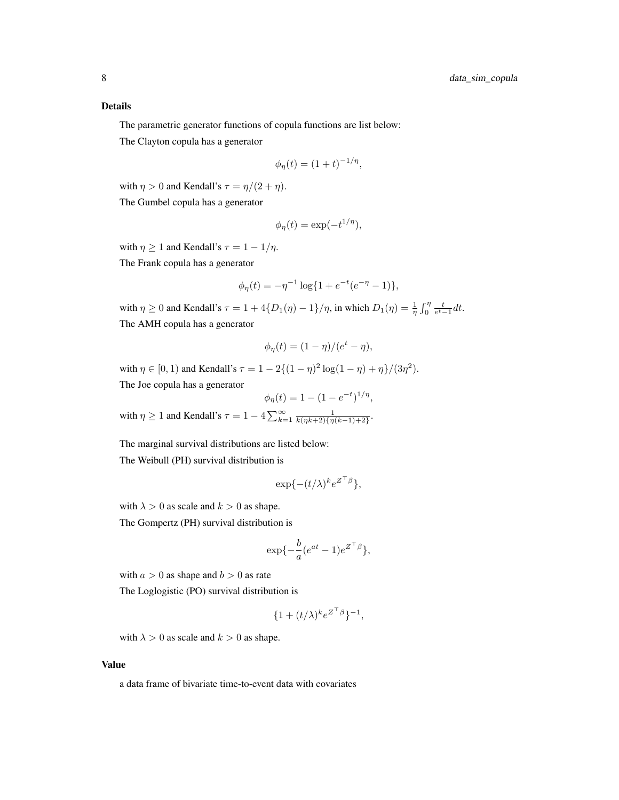## Details

The parametric generator functions of copula functions are list below:

The Clayton copula has a generator

$$
\phi_{\eta}(t) = (1+t)^{-1/\eta},
$$

with  $\eta > 0$  and Kendall's  $\tau = \eta/(2 + \eta)$ .

The Gumbel copula has a generator

$$
\phi_{\eta}(t) = \exp(-t^{1/\eta}),
$$

with  $\eta \geq 1$  and Kendall's  $\tau = 1 - 1/\eta$ .

The Frank copula has a generator

$$
\phi_{\eta}(t) = -\eta^{-1} \log\{1 + e^{-t}(e^{-\eta} - 1)\},\
$$

with  $\eta \ge 0$  and Kendall's  $\tau = 1 + 4\{D_1(\eta) - 1\}/\eta$ , in which  $D_1(\eta) = \frac{1}{\eta} \int_0^{\eta} \frac{t}{e^t - 1} dt$ . The AMH copula has a generator

$$
\phi_{\eta}(t) = (1 - \eta)/(e^t - \eta),
$$

with  $\eta \in [0, 1)$  and Kendall's  $\tau = 1 - 2\{(1 - \eta)^2 \log(1 - \eta) + \eta\}/(3\eta^2)$ .

The Joe copula has a generator

 $\phi_{\eta}(t) = 1 - (1 - e^{-t})^{1/\eta},$ with  $\eta \geq 1$  and Kendall's  $\tau = 1 - 4 \sum_{k=1}^{\infty} \frac{1}{k(\eta k+2)\{\eta(k-1)+2\}}$ .

The marginal survival distributions are listed below:

The Weibull (PH) survival distribution is

$$
\exp\{-(t/\lambda)^k e^{Z^\top\beta}\},
$$

with  $\lambda > 0$  as scale and  $k > 0$  as shape.

The Gompertz (PH) survival distribution is

$$
\exp\{-\frac{b}{a}(e^{at}-1)e^{Z^{\top}\beta}\},\
$$

with  $a > 0$  as shape and  $b > 0$  as rate

The Loglogistic (PO) survival distribution is

$$
\{1+(t/\lambda)^k e^{Z^\top\beta}\}^{-1},
$$

with  $\lambda > 0$  as scale and  $k > 0$  as shape.

## Value

a data frame of bivariate time-to-event data with covariates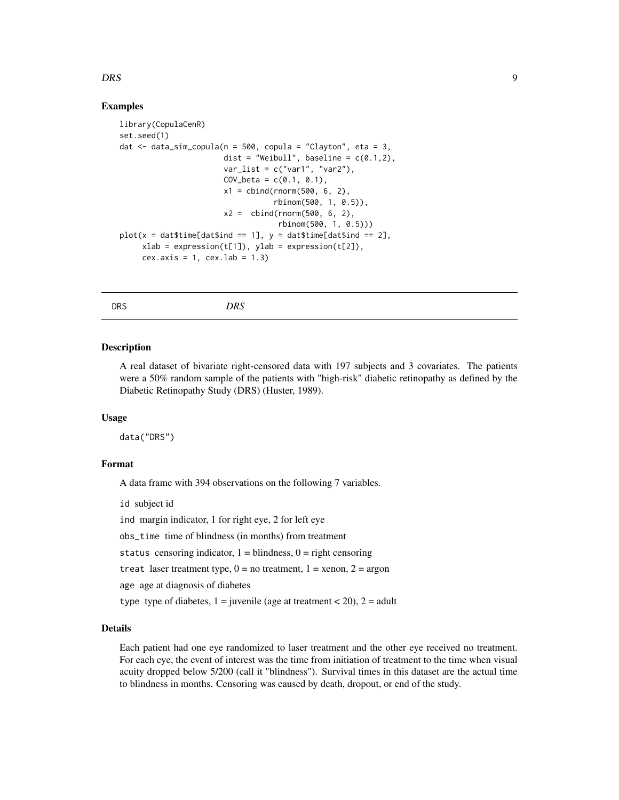## <span id="page-8-0"></span>DRS 9

## Examples

```
library(CopulaCenR)
set.seed(1)
dat \le- data_sim_copula(n = 500, copula = "Clayton", eta = 3,
                       dist = "Weibull", baseline = c(0.1,2),
                       var_list = c("var1", "var2"),COV_{beta} = c(0.1, 0.1),x1 = \text{cbind}(rnorm(500, 6, 2),rbinom(500, 1, 0.5)),
                       x2 = \text{cbind}(rnorm(500, 6, 2),rbinom(500, 1, 0.5)))
plot(x = dat$time[dat$ind == 1], y = dat$time[dat$ind == 2],xlab = expression(t[1]), ylab = expression(t[2]),cex.axis = 1, cex.lab = 1.3
```
DRS *DRS*

#### Description

A real dataset of bivariate right-censored data with 197 subjects and 3 covariates. The patients were a 50% random sample of the patients with "high-risk" diabetic retinopathy as defined by the Diabetic Retinopathy Study (DRS) (Huster, 1989).

## Usage

data("DRS")

## Format

A data frame with 394 observations on the following 7 variables.

id subject id

ind margin indicator, 1 for right eye, 2 for left eye

obs\_time time of blindness (in months) from treatment

status censoring indicator,  $1 = \text{blindness}, 0 = \text{right censoring}$ 

treat laser treatment type,  $0 =$  no treatment,  $1 =$  xenon,  $2 =$  argon

age age at diagnosis of diabetes

type type of diabetes,  $1 =$  juvenile (age at treatment < 20),  $2 =$  adult

## Details

Each patient had one eye randomized to laser treatment and the other eye received no treatment. For each eye, the event of interest was the time from initiation of treatment to the time when visual acuity dropped below 5/200 (call it "blindness"). Survival times in this dataset are the actual time to blindness in months. Censoring was caused by death, dropout, or end of the study.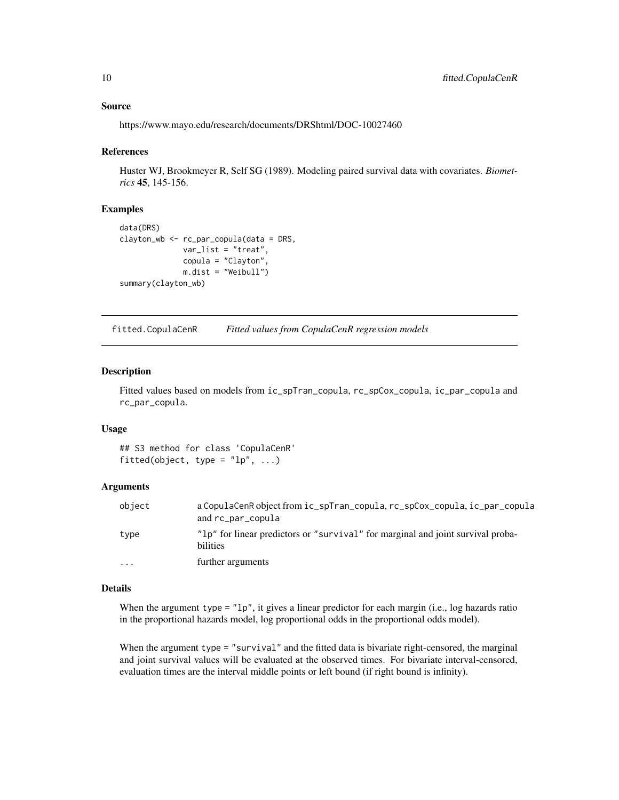## <span id="page-9-0"></span>Source

https://www.mayo.edu/research/documents/DRShtml/DOC-10027460

#### References

Huster WJ, Brookmeyer R, Self SG (1989). Modeling paired survival data with covariates. *Biometrics* 45, 145-156.

#### Examples

```
data(DRS)
clayton_wb <- rc_par_copula(data = DRS,
              var_list = "treat",
              copula = "Clayton",
              m.dist = "Weibull")
summary(clayton_wb)
```
fitted.CopulaCenR *Fitted values from CopulaCenR regression models*

## Description

Fitted values based on models from ic\_spTran\_copula, rc\_spCox\_copula, ic\_par\_copula and rc\_par\_copula.

#### Usage

## S3 method for class 'CopulaCenR' fitted(object, type =  $"lp", ...)$ 

## Arguments

| object    | a CopulaCenR object from ic_spTran_copula, rc_spCox_copula, ic_par_copula<br>and rc_par_copula |
|-----------|------------------------------------------------------------------------------------------------|
| type      | "lp" for linear predictors or "survival" for marginal and joint survival proba-<br>bilities    |
| $\ddotsc$ | further arguments                                                                              |

## Details

When the argument type =  $"1p"$ , it gives a linear predictor for each margin (i.e., log hazards ratio in the proportional hazards model, log proportional odds in the proportional odds model).

When the argument type = "survival" and the fitted data is bivariate right-censored, the marginal and joint survival values will be evaluated at the observed times. For bivariate interval-censored, evaluation times are the interval middle points or left bound (if right bound is infinity).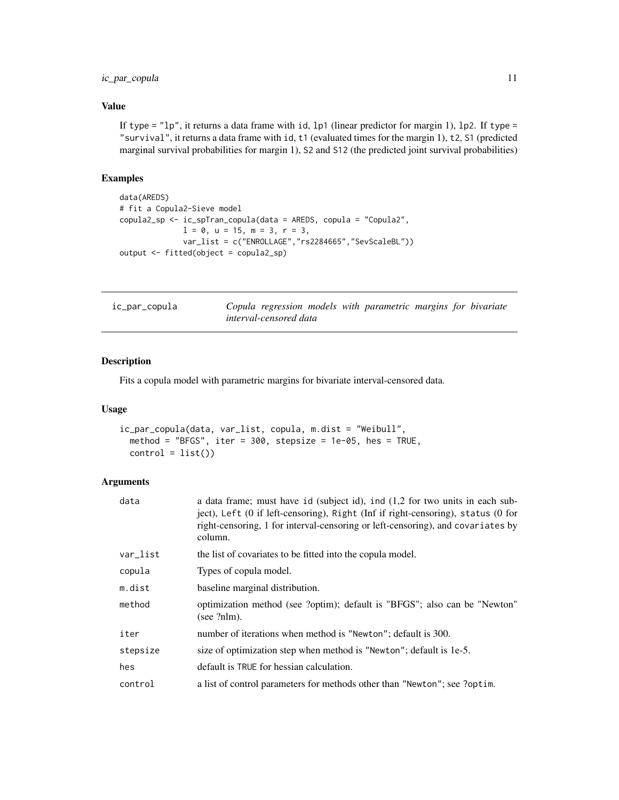## <span id="page-10-0"></span>ic\_par\_copula 11

## Value

If type =  $"lp",$  it returns a data frame with id, lp1 (linear predictor for margin 1), lp2. If type = "survival", it returns a data frame with id, t1 (evaluated times for the margin 1), t2, S1 (predicted marginal survival probabilities for margin 1), S2 and S12 (the predicted joint survival probabilities)

## Examples

```
data(AREDS)
# fit a Copula2-Sieve model
copula2_sp <- ic_spTran_copula(data = AREDS, copula = "Copula2",
              1 = 0, u = 15, m = 3, r = 3,
              var_list = c("ENROLLAGE","rs2284665","SevScaleBL"))
output <- fitted(object = copula2_sp)
```

| ic_par_copula |                               |  | Copula regression models with parametric margins for bivariate |  |  |
|---------------|-------------------------------|--|----------------------------------------------------------------|--|--|
|               | <i>interval-censored data</i> |  |                                                                |  |  |

## Description

Fits a copula model with parametric margins for bivariate interval-censored data.

#### Usage

```
ic_par_copula(data, var_list, copula, m.dist = "Weibull",
 method = "BFGS", iter = 300, stepsize = 1e-05, hes = TRUE,
 control = list()
```
#### Arguments

| a data frame; must have id (subject id), ind $(1,2)$ for two units in each sub-<br>ject), Left (0 if left-censoring), Right (Inf if right-censoring), status (0 for<br>right-censoring, 1 for interval-censoring or left-censoring), and covariates by<br>column. |
|-------------------------------------------------------------------------------------------------------------------------------------------------------------------------------------------------------------------------------------------------------------------|
| the list of covariates to be fitted into the copula model.                                                                                                                                                                                                        |
| Types of copula model.                                                                                                                                                                                                                                            |
| baseline marginal distribution.                                                                                                                                                                                                                                   |
| optimization method (see ?optim); default is "BFGS"; also can be "Newton"<br>(see?nlm).                                                                                                                                                                           |
| number of iterations when method is "Newton"; default is 300.                                                                                                                                                                                                     |
| size of optimization step when method is "Newton"; default is 1e-5.                                                                                                                                                                                               |
| default is TRUE for hessian calculation.                                                                                                                                                                                                                          |
| a list of control parameters for methods other than "Newton"; see ?optim.                                                                                                                                                                                         |
|                                                                                                                                                                                                                                                                   |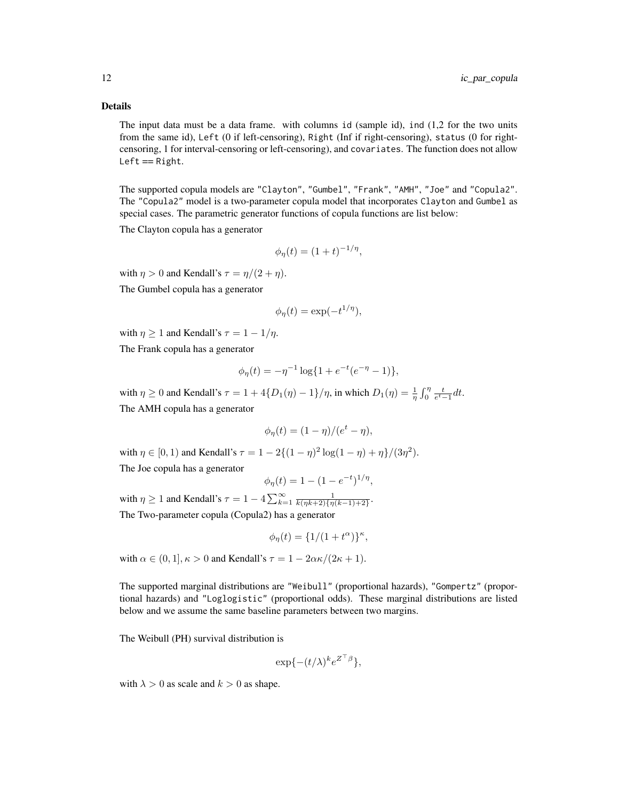## Details

The input data must be a data frame. with columns id (sample id), ind (1,2 for the two units from the same id), Left (0 if left-censoring), Right (Inf if right-censoring), status (0 for rightcensoring, 1 for interval-censoring or left-censoring), and covariates. The function does not allow  $Left == Right.$ 

The supported copula models are "Clayton", "Gumbel", "Frank", "AMH", "Joe" and "Copula2". The "Copula2" model is a two-parameter copula model that incorporates Clayton and Gumbel as special cases. The parametric generator functions of copula functions are list below:

The Clayton copula has a generator

$$
\phi_{\eta}(t) = (1+t)^{-1/\eta},
$$

with  $\eta > 0$  and Kendall's  $\tau = \eta/(2 + \eta)$ .

The Gumbel copula has a generator

$$
\phi_{\eta}(t) = \exp(-t^{1/\eta}),
$$

with  $\eta \geq 1$  and Kendall's  $\tau = 1 - 1/\eta$ .

The Frank copula has a generator

$$
\phi_{\eta}(t) = -\eta^{-1} \log\{1 + e^{-t}(e^{-\eta} - 1)\},\
$$

with  $\eta \ge 0$  and Kendall's  $\tau = 1 + 4\{D_1(\eta) - 1\}/\eta$ , in which  $D_1(\eta) = \frac{1}{\eta} \int_0^{\eta} \frac{t}{e^t - 1} dt$ . The AMH copula has a generator

$$
\phi_{\eta}(t) = (1 - \eta)/(e^t - \eta),
$$

with  $\eta \in [0, 1)$  and Kendall's  $\tau = 1 - 2\{(1 - \eta)^2 \log(1 - \eta) + \eta\}/(3\eta^2)$ . The Joe copula has a generator

$$
\phi_{\eta}(t) = 1 - (1 - e^{-t})^{1/\eta},
$$

with  $\eta \geq 1$  and Kendall's  $\tau = 1 - 4 \sum_{k=1}^{\infty} \frac{1}{k(\eta k+2)\{\eta(k-1)+2\}}$ . The Two-parameter copula (Copula2) has a generator

$$
\phi_{\eta}(t) = \{1/(1+t^{\alpha})\}^{\kappa},
$$

with  $\alpha \in (0, 1], \kappa > 0$  and Kendall's  $\tau = 1 - 2\alpha \kappa/(2\kappa + 1)$ .

The supported marginal distributions are "Weibull" (proportional hazards), "Gompertz" (proportional hazards) and "Loglogistic" (proportional odds). These marginal distributions are listed below and we assume the same baseline parameters between two margins.

The Weibull (PH) survival distribution is

$$
\exp\{-(t/\lambda)^k e^{Z^\top\beta}\},
$$

with  $\lambda > 0$  as scale and  $k > 0$  as shape.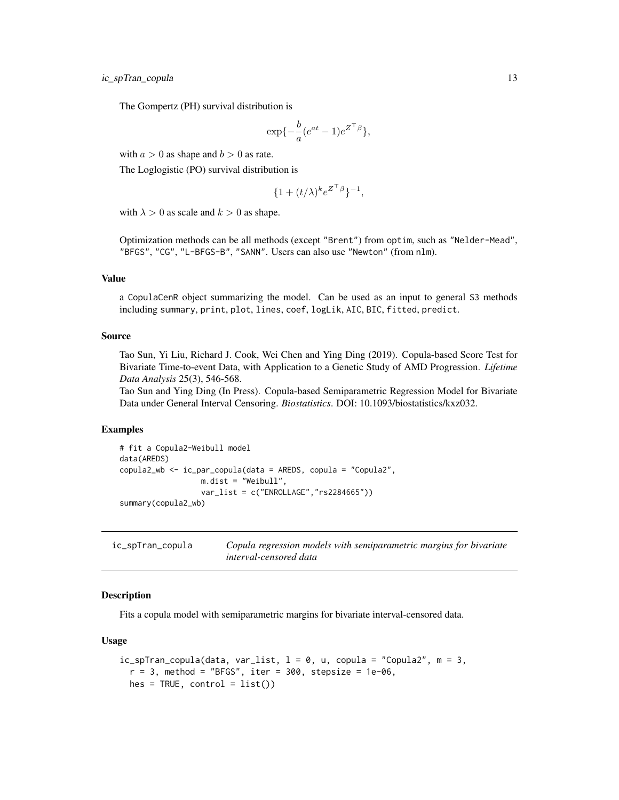<span id="page-12-0"></span>ic\_spTran\_copula 13

The Gompertz (PH) survival distribution is

$$
\exp\{-\frac{b}{a}(e^{at}-1)e^{Z^\top\beta}\},\
$$

with  $a > 0$  as shape and  $b > 0$  as rate.

The Loglogistic (PO) survival distribution is

$$
\{1+(t/\lambda)^k e^{Z^\top\beta}\}^{-1},
$$

with  $\lambda > 0$  as scale and  $k > 0$  as shape.

Optimization methods can be all methods (except "Brent") from optim, such as "Nelder-Mead", "BFGS", "CG", "L-BFGS-B", "SANN". Users can also use "Newton" (from nlm).

## Value

a CopulaCenR object summarizing the model. Can be used as an input to general S3 methods including summary, print, plot, lines, coef, logLik, AIC, BIC, fitted, predict.

## Source

Tao Sun, Yi Liu, Richard J. Cook, Wei Chen and Ying Ding (2019). Copula-based Score Test for Bivariate Time-to-event Data, with Application to a Genetic Study of AMD Progression. *Lifetime Data Analysis* 25(3), 546-568.

Tao Sun and Ying Ding (In Press). Copula-based Semiparametric Regression Model for Bivariate Data under General Interval Censoring. *Biostatistics*. DOI: 10.1093/biostatistics/kxz032.

## Examples

```
# fit a Copula2-Weibull model
data(AREDS)
copula2_wb <- ic_par_copula(data = AREDS, copula = "Copula2",
                  m.dist = "Weibull",
                  var_list = c("ENROLLAGE","rs2284665"))
summary(copula2_wb)
```
ic\_spTran\_copula *Copula regression models with semiparametric margins for bivariate interval-censored data*

## **Description**

Fits a copula model with semiparametric margins for bivariate interval-censored data.

#### Usage

```
ic_spTran_copula(data, var_list, 1 = 0, u, copula = "Copula2", m = 3,r = 3, method = "BFGS", iter = 300, stepsize = 1e-06,
 hes = TRUE, control = list()
```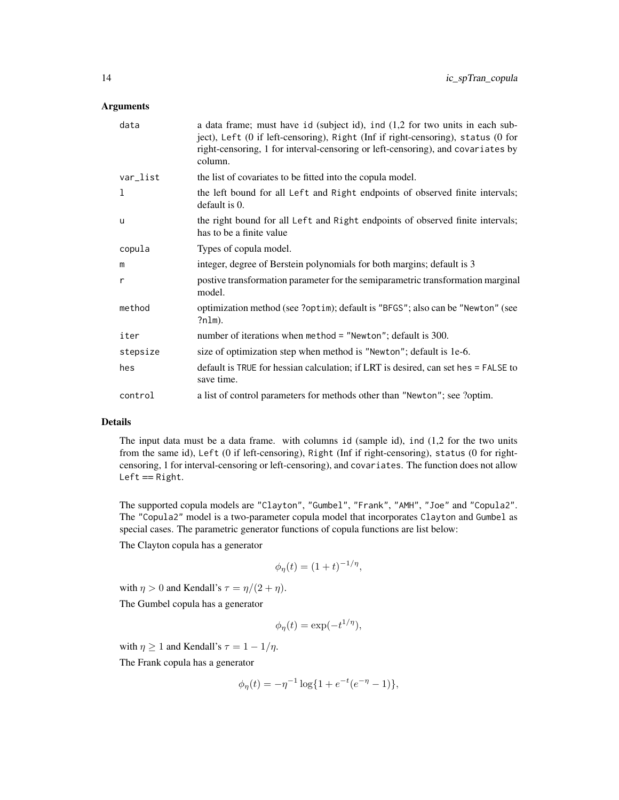## Arguments

| data     | a data frame; must have id (subject id), ind (1,2 for two units in each sub-<br>ject), Left (0 if left-censoring), Right (Inf if right-censoring), status (0 for<br>right-censoring, 1 for interval-censoring or left-censoring), and covariates by<br>column. |
|----------|----------------------------------------------------------------------------------------------------------------------------------------------------------------------------------------------------------------------------------------------------------------|
| var_list | the list of covariates to be fitted into the copula model.                                                                                                                                                                                                     |
| 1        | the left bound for all Left and Right endpoints of observed finite intervals;<br>default is 0.                                                                                                                                                                 |
| u        | the right bound for all Left and Right endpoints of observed finite intervals;<br>has to be a finite value                                                                                                                                                     |
| copula   | Types of copula model.                                                                                                                                                                                                                                         |
| m        | integer, degree of Berstein polynomials for both margins; default is 3                                                                                                                                                                                         |
| r        | postive transformation parameter for the semiparametric transformation marginal<br>model.                                                                                                                                                                      |
| method   | optimization method (see ?optim); default is "BFGS"; also can be "Newton" (see<br>?nlm).                                                                                                                                                                       |
| iter     | number of iterations when method = "Newton"; default is 300.                                                                                                                                                                                                   |
| stepsize | size of optimization step when method is "Newton"; default is 1e-6.                                                                                                                                                                                            |
| hes      | default is TRUE for hessian calculation; if LRT is desired, can set hes = FALSE to<br>save time.                                                                                                                                                               |
| control  | a list of control parameters for methods other than "Newton"; see ?optim.                                                                                                                                                                                      |

## Details

The input data must be a data frame. with columns id (sample id), ind (1,2 for the two units from the same id), Left (0 if left-censoring), Right (Inf if right-censoring), status (0 for rightcensoring, 1 for interval-censoring or left-censoring), and covariates. The function does not allow  $Left == Right.$ 

The supported copula models are "Clayton", "Gumbel", "Frank", "AMH", "Joe" and "Copula2". The "Copula2" model is a two-parameter copula model that incorporates Clayton and Gumbel as special cases. The parametric generator functions of copula functions are list below:

The Clayton copula has a generator

$$
\phi_{\eta}(t) = (1+t)^{-1/\eta},
$$

with  $\eta > 0$  and Kendall's  $\tau = \eta/(2 + \eta)$ .

The Gumbel copula has a generator

$$
\phi_{\eta}(t) = \exp(-t^{1/\eta}),
$$

with  $\eta \geq 1$  and Kendall's  $\tau = 1 - 1/\eta$ .

The Frank copula has a generator

$$
\phi_{\eta}(t) = -\eta^{-1} \log\{1 + e^{-t}(e^{-\eta} - 1)\},\
$$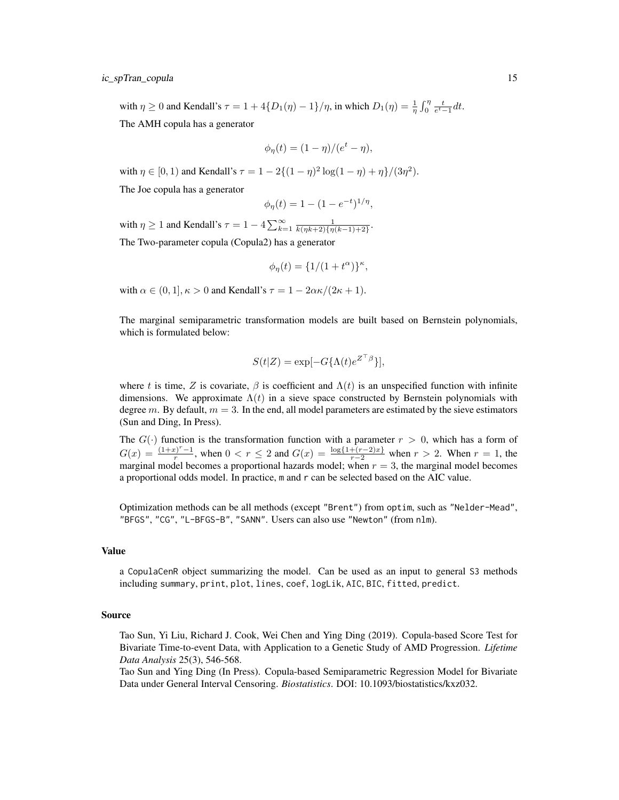with  $\eta \ge 0$  and Kendall's  $\tau = 1 + 4\{D_1(\eta) - 1\}/\eta$ , in which  $D_1(\eta) = \frac{1}{\eta} \int_0^{\eta} \frac{t}{e^t - 1} dt$ .

The AMH copula has a generator

$$
\phi_{\eta}(t) = (1 - \eta)/(e^t - \eta),
$$

with  $\eta \in [0, 1)$  and Kendall's  $\tau = 1 - 2\{(1 - \eta)^2 \log(1 - \eta) + \eta\}/(3\eta^2)$ .

The Joe copula has a generator

$$
\phi_{\eta}(t) = 1 - (1 - e^{-t})^{1/\eta},
$$

with  $\eta \geq 1$  and Kendall's  $\tau = 1 - 4 \sum_{k=1}^{\infty} \frac{1}{k(\eta k+2)\{\eta(k-1)+2\}}$ .

The Two-parameter copula (Copula2) has a generator

$$
\phi_{\eta}(t) = \{1/(1+t^{\alpha})\}^{\kappa},
$$

with  $\alpha \in (0, 1], \kappa > 0$  and Kendall's  $\tau = 1 - 2\alpha \kappa/(2\kappa + 1)$ .

The marginal semiparametric transformation models are built based on Bernstein polynomials, which is formulated below:

$$
S(t|Z) = \exp[-G\{\Lambda(t)e^{Z^{\top}\beta}\}],
$$

where t is time, Z is covariate,  $\beta$  is coefficient and  $\Lambda(t)$  is an unspecified function with infinite dimensions. We approximate  $\Lambda(t)$  in a sieve space constructed by Bernstein polynomials with degree m. By default,  $m = 3$ . In the end, all model parameters are estimated by the sieve estimators (Sun and Ding, In Press).

The  $G(\cdot)$  function is the transformation function with a parameter  $r > 0$ , which has a form of  $G(x) = \frac{(1+x)^{r}-1}{x}$  $r^{\frac{p(r-1)}{r}}$ , when  $0 < r \le 2$  and  $G(x) = \frac{\log{1+(r-2)x}}{r-2}$  when  $r > 2$ . When  $r = 1$ , the marginal model becomes a proportional hazards model; when  $r = 3$ , the marginal model becomes a proportional odds model. In practice, m and r can be selected based on the AIC value.

Optimization methods can be all methods (except "Brent") from optim, such as "Nelder-Mead", "BFGS", "CG", "L-BFGS-B", "SANN". Users can also use "Newton" (from nlm).

## Value

a CopulaCenR object summarizing the model. Can be used as an input to general S3 methods including summary, print, plot, lines, coef, logLik, AIC, BIC, fitted, predict.

## Source

Tao Sun, Yi Liu, Richard J. Cook, Wei Chen and Ying Ding (2019). Copula-based Score Test for Bivariate Time-to-event Data, with Application to a Genetic Study of AMD Progression. *Lifetime Data Analysis* 25(3), 546-568.

Tao Sun and Ying Ding (In Press). Copula-based Semiparametric Regression Model for Bivariate Data under General Interval Censoring. *Biostatistics*. DOI: 10.1093/biostatistics/kxz032.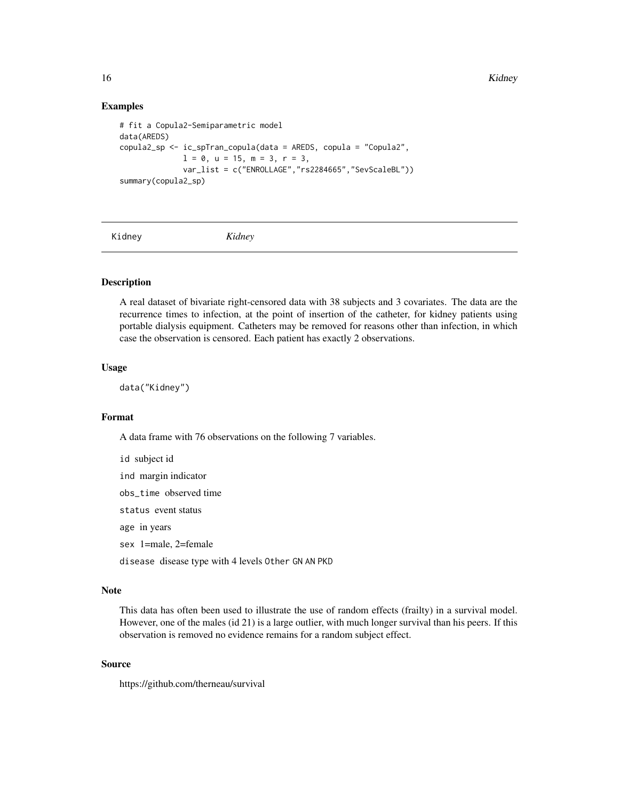16 Kidney Kung Kabupatèn Kidney Kung Kabupatèn Kidney Kung Kabupatèn Kidney K

## Examples

```
# fit a Copula2-Semiparametric model
data(AREDS)
copula2_sp <- ic_spTran_copula(data = AREDS, copula = "Copula2",
              1 = 0, u = 15, m = 3, r = 3,
              var_list = c("ENROLLAGE","rs2284665","SevScaleBL"))
summary(copula2_sp)
```
Kidney *Kidney*

## **Description**

A real dataset of bivariate right-censored data with 38 subjects and 3 covariates. The data are the recurrence times to infection, at the point of insertion of the catheter, for kidney patients using portable dialysis equipment. Catheters may be removed for reasons other than infection, in which case the observation is censored. Each patient has exactly 2 observations.

#### Usage

data("Kidney")

## Format

A data frame with 76 observations on the following 7 variables.

id subject id ind margin indicator obs\_time observed time status event status age in years sex 1=male, 2=female disease disease type with 4 levels Other GN AN PKD

#### Note

This data has often been used to illustrate the use of random effects (frailty) in a survival model. However, one of the males (id 21) is a large outlier, with much longer survival than his peers. If this observation is removed no evidence remains for a random subject effect.

## Source

https://github.com/therneau/survival

<span id="page-15-0"></span>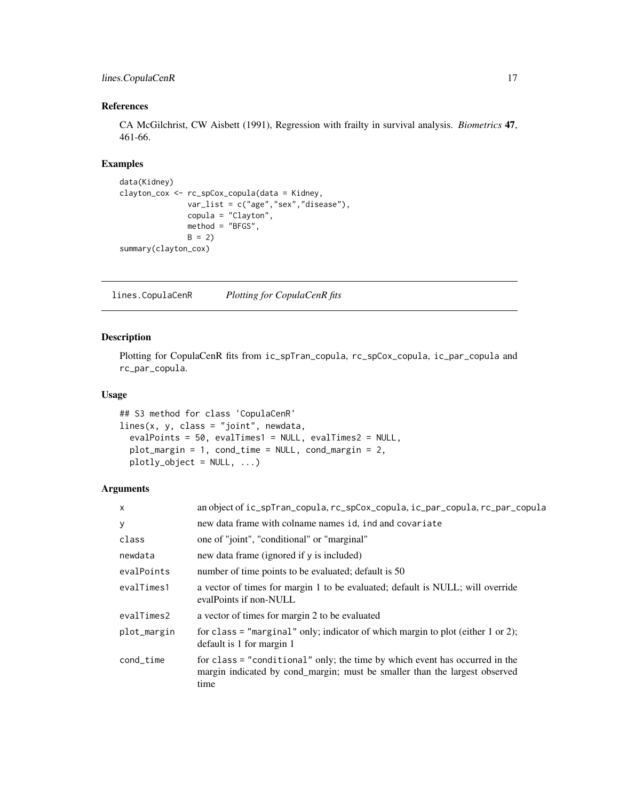## <span id="page-16-0"></span>lines.CopulaCenR 17

## References

CA McGilchrist, CW Aisbett (1991), Regression with frailty in survival analysis. *Biometrics* 47, 461-66.

## Examples

```
data(Kidney)
clayton_cox <- rc_spCox_copula(data = Kidney,
              var_list = c("age","sex","disease"),
              copula = "Clayton",
              method = "BFGS",
              B = 2summary(clayton_cox)
```
lines.CopulaCenR *Plotting for CopulaCenR fits*

## Description

Plotting for CopulaCenR fits from ic\_spTran\_copula, rc\_spCox\_copula, ic\_par\_copula and rc\_par\_copula.

## Usage

```
## S3 method for class 'CopulaCenR'
lines(x, y, class = "joint", newdata,
 evalPoints = 50, evalTimes1 = NULL, evalTimes2 = NULL,
 plot_margin = 1, cond_time = NULL, cond_margin = 2,
 plotly\_object = NULL, ...)
```
## Arguments

| X           | an object of ic_spTran_copula, rc_spCox_copula, ic_par_copula, rc_par_copula                                                                                      |
|-------------|-------------------------------------------------------------------------------------------------------------------------------------------------------------------|
| У           | new data frame with colname names id, ind and covariate                                                                                                           |
| class       | one of "joint", "conditional" or "marginal"                                                                                                                       |
| newdata     | new data frame (ignored if y is included)                                                                                                                         |
| evalPoints  | number of time points to be evaluated; default is 50                                                                                                              |
| evalTimes1  | a vector of times for margin 1 to be evaluated; default is NULL; will override<br>evalPoints if non-NULL                                                          |
| evalTimes2  | a vector of times for margin 2 to be evaluated                                                                                                                    |
| plot_margin | for class = "marginal" only; indicator of which margin to plot (either $1$ or $2$ );<br>default is 1 for margin 1                                                 |
| cond_time   | for class = "conditional" only; the time by which event has occurred in the<br>margin indicated by cond_margin; must be smaller than the largest observed<br>time |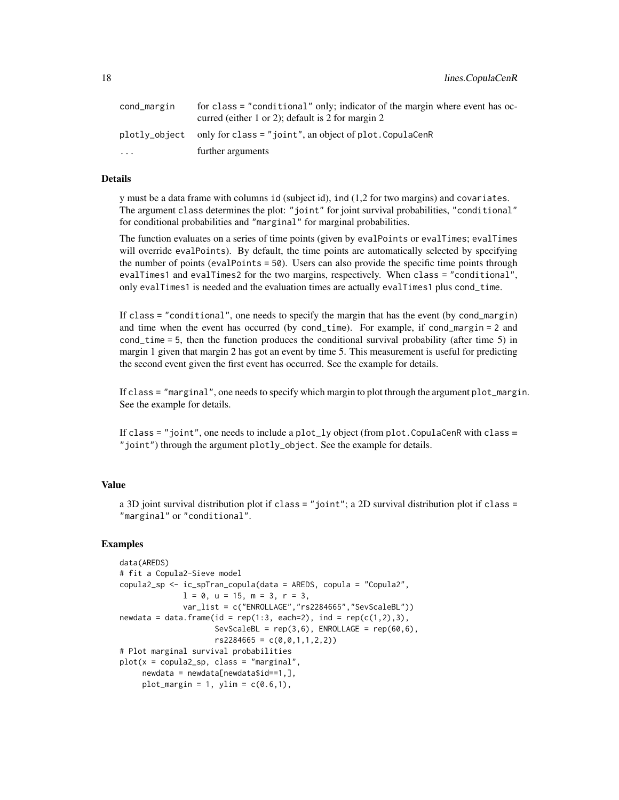| cond_margin | for class = "conditional" only; indicator of the margin where event has oc-<br>curred (either 1 or 2); default is 2 for margin 2 |
|-------------|----------------------------------------------------------------------------------------------------------------------------------|
|             | plotly_object only for class = "joint", an object of plot. CopulaCenR                                                            |
| $\cdots$    | further arguments                                                                                                                |

## Details

y must be a data frame with columns id (subject id), ind (1,2 for two margins) and covariates. The argument class determines the plot: "joint" for joint survival probabilities, "conditional" for conditional probabilities and "marginal" for marginal probabilities.

The function evaluates on a series of time points (given by evalPoints or evalTimes; evalTimes will override evalPoints). By default, the time points are automatically selected by specifying the number of points (evalPoints = 50). Users can also provide the specific time points through evalTimes1 and evalTimes2 for the two margins, respectively. When class = "conditional", only evalTimes1 is needed and the evaluation times are actually evalTimes1 plus cond\_time.

If class = "conditional", one needs to specify the margin that has the event (by cond\_margin) and time when the event has occurred (by cond\_time). For example, if cond\_margin = 2 and cond\_time = 5, then the function produces the conditional survival probability (after time 5) in margin 1 given that margin 2 has got an event by time 5. This measurement is useful for predicting the second event given the first event has occurred. See the example for details.

If class = "marginal", one needs to specify which margin to plot through the argument plot\_margin. See the example for details.

If class = "joint", one needs to include a  $plot_{1}$ y object (from  $plot_{1}$ CopulaCenR with class = "joint") through the argument plotly\_object. See the example for details.

## Value

a 3D joint survival distribution plot if class = "joint"; a 2D survival distribution plot if class = "marginal" or "conditional".

#### Examples

```
data(AREDS)
# fit a Copula2-Sieve model
copula2_sp <- ic_spTran_copula(data = AREDS, copula = "Copula2",
             1 = 0, u = 15, m = 3, r = 3,
             var_list = c("ENROLLAGE","rs2284665","SevScaleBL"))
newdata = data.frame(id = rep(1:3, each=2), ind = rep(c(1,2),3),
                    SevScaleBL = rep(3,6), ENROLLAGE = rep(60,6),
                    rs2284665 = c(0,0,1,1,2,2)# Plot marginal survival probabilities
plot(x = copula2_sp, class = "marginal",
     newdata = newdata[newdata$id==1,],plot_margin = 1, ylim = c(0.6,1),
```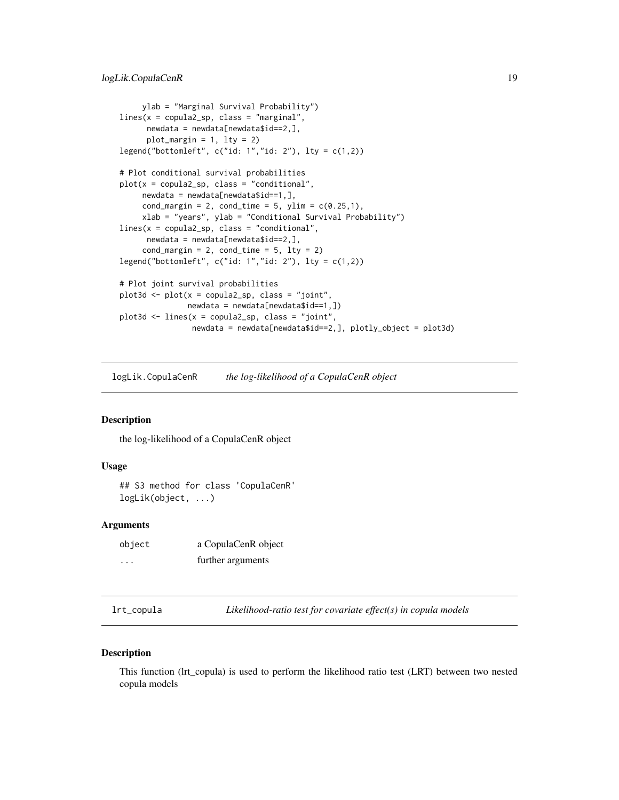```
ylab = "Marginal Survival Probability")
lines(x = copula2_sp, class = "marginal",newdata = newdata[newdata$id==2,],plot_margin = 1, lty = 2legend("bottomleft", c("id: 1", "id: 2"), lty = c(1,2))# Plot conditional survival probabilities
plot(x = copula2_sp, class = "conditional",newdata = newdata[newdata$id==1,],cond_margin = 2, cond_time = 5, ylim = c(0.25,1),
    xlab = "years", ylab = "Conditional Survival Probability")
lines(x = copula2_sp, class = "conditional",
     newdata = newdata[newdata$id==2,],cond_margin = 2, cond_time = 5, lty = 2)
legend("bottomleft", c("id: 1","id: 2"), lty = c(1,2))
# Plot joint survival probabilities
plot3d <- plot(x = copula2_sp, class = "joint",
              newdata = newdata[newdata$id==1, ])plot3d \leq lines(x = copula2_sp, class = "joint",newdata = newdata[newdata$id==2,], plotly_object = plot3d)
```
logLik.CopulaCenR *the log-likelihood of a CopulaCenR object*

## Description

the log-likelihood of a CopulaCenR object

## Usage

## S3 method for class 'CopulaCenR' logLik(object, ...)

## **Arguments**

| object               | a CopulaCenR object |
|----------------------|---------------------|
| $\ddot{\phantom{0}}$ | further arguments   |

lrt\_copula *Likelihood-ratio test for covariate effect(s) in copula models*

## **Description**

This function (lrt\_copula) is used to perform the likelihood ratio test (LRT) between two nested copula models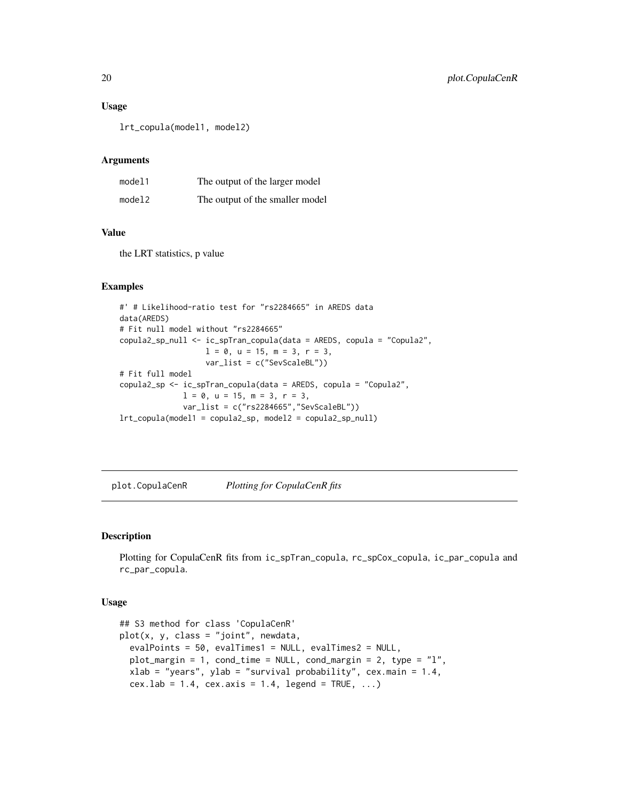## Usage

lrt\_copula(model1, model2)

## Arguments

| model1 | The output of the larger model  |
|--------|---------------------------------|
| model2 | The output of the smaller model |

## Value

the LRT statistics, p value

## Examples

```
#' # Likelihood-ratio test for "rs2284665" in AREDS data
data(AREDS)
# Fit null model without "rs2284665"
copula2_sp_null <- ic_spTran_copula(data = AREDS, copula = "Copula2",
                  1 = 0, u = 15, m = 3, r = 3,
                   var_list = c("SevScaleBL"))
# Fit full model
copula2_sp <- ic_spTran_copula(data = AREDS, copula = "Copula2",
              1 = 0, u = 15, m = 3, r = 3,
              var_list = c("rs2284665","SevScaleBL"))
lrt_copula(model1 = copula2_sp, model2 = copula2_sp_null)
```
plot.CopulaCenR *Plotting for CopulaCenR fits*

#### Description

Plotting for CopulaCenR fits from ic\_spTran\_copula, rc\_spCox\_copula, ic\_par\_copula and rc\_par\_copula.

## Usage

```
## S3 method for class 'CopulaCenR'
plot(x, y, class = "joint", newdata,
 evalPoints = 50, evalTimes1 = NULL, evalTimes2 = NULL,
 plot_margin = 1, cond_time = NULL, cond_margin = 2, type = "l",
 xlab = "years", ylab = "survival probability", cex.main = 1.4,
  cex.1ab = 1.4, cex.axis = 1.4, legend = TRUE, ...
```
<span id="page-19-0"></span>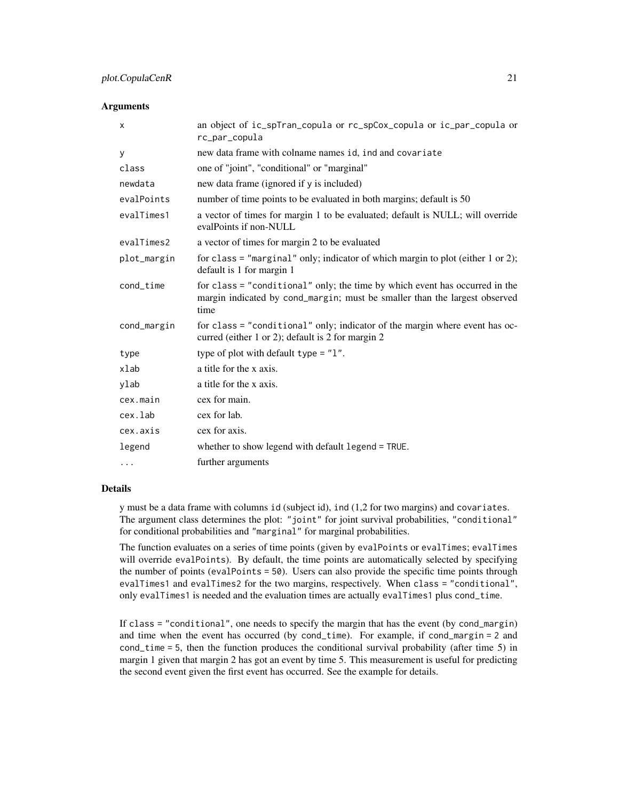#### Arguments

| X           | an object of ic_spTran_copula or rc_spCox_copula or ic_par_copula or<br>rc_par_copula                                                                             |
|-------------|-------------------------------------------------------------------------------------------------------------------------------------------------------------------|
| У           | new data frame with colname names id, ind and covariate                                                                                                           |
| class       | one of "joint", "conditional" or "marginal"                                                                                                                       |
| newdata     | new data frame (ignored if y is included)                                                                                                                         |
| evalPoints  | number of time points to be evaluated in both margins; default is 50                                                                                              |
| evalTimes1  | a vector of times for margin 1 to be evaluated; default is NULL; will override<br>evalPoints if non-NULL                                                          |
| evalTimes2  | a vector of times for margin 2 to be evaluated                                                                                                                    |
| plot_margin | for class = "marginal" only; indicator of which margin to plot (either $1$ or $2$ );<br>default is 1 for margin 1                                                 |
| cond_time   | for class = "conditional" only; the time by which event has occurred in the<br>margin indicated by cond_margin; must be smaller than the largest observed<br>time |
| cond_margin | for class = "conditional" only; indicator of the margin where event has oc-<br>curred (either 1 or 2); default is 2 for margin 2                                  |
| type        | type of plot with default type $=$ "1".                                                                                                                           |
| xlab        | a title for the x axis.                                                                                                                                           |
| ylab        | a title for the x axis.                                                                                                                                           |
| cex.main    | cex for main.                                                                                                                                                     |
| cex.lab     | cex for lab.                                                                                                                                                      |
| cex.axis    | cex for axis.                                                                                                                                                     |
| legend      | whether to show legend with default legend = TRUE.                                                                                                                |
| $\cdots$    | further arguments                                                                                                                                                 |

## Details

y must be a data frame with columns id (subject id), ind (1,2 for two margins) and covariates. The argument class determines the plot: "joint" for joint survival probabilities, "conditional" for conditional probabilities and "marginal" for marginal probabilities.

The function evaluates on a series of time points (given by evalPoints or evalTimes; evalTimes will override evalPoints). By default, the time points are automatically selected by specifying the number of points (evalPoints = 50). Users can also provide the specific time points through evalTimes1 and evalTimes2 for the two margins, respectively. When class = "conditional", only evalTimes1 is needed and the evaluation times are actually evalTimes1 plus cond\_time.

If class = "conditional", one needs to specify the margin that has the event (by cond\_margin) and time when the event has occurred (by cond\_time). For example, if cond\_margin = 2 and cond\_time = 5, then the function produces the conditional survival probability (after time 5) in margin 1 given that margin 2 has got an event by time 5. This measurement is useful for predicting the second event given the first event has occurred. See the example for details.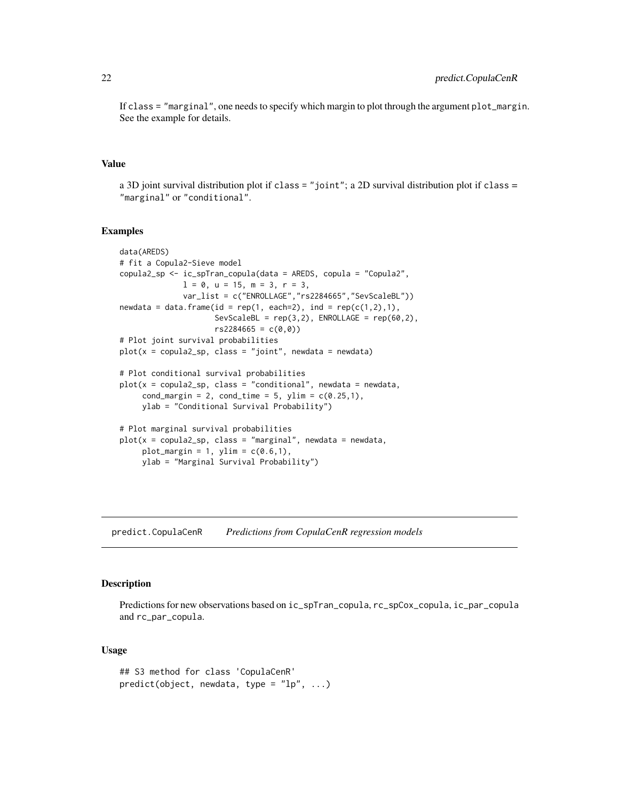<span id="page-21-0"></span>If class = "marginal", one needs to specify which margin to plot through the argument plot\_margin. See the example for details.

#### Value

a 3D joint survival distribution plot if class = "joint"; a 2D survival distribution plot if class = "marginal" or "conditional".

## Examples

```
data(AREDS)
# fit a Copula2-Sieve model
copula2_sp <- ic_spTran_copula(data = AREDS, copula = "Copula2",
             1 = 0, u = 15, m = 3, r = 3,
             var_list = c("ENROLLAGE","rs2284665","SevScaleBL"))
newdata = data.frame(id = rep(1, each=2), ind = rep(c(1,2),1),SevScaleBL = rep(3,2), ENROLLAGE = rep(60,2),
                     rs2284665 = c(0,0)# Plot joint survival probabilities
plot(x = copula2_sp, class = "joint", newdata = newdata)# Plot conditional survival probabilities
plot(x = copula2_sp, class = "conditional", newdata = newdata,cond_margin = 2, cond_time = 5, ylim = c(0.25,1),
    ylab = "Conditional Survival Probability")
# Plot marginal survival probabilities
plot(x = copula2_sp, class = "marginal", newdata = newdata,plot_margin = 1, ylim = c(0.6,1),
    ylab = "Marginal Survival Probability")
```
predict.CopulaCenR *Predictions from CopulaCenR regression models*

#### Description

Predictions for new observations based on ic\_spTran\_copula, rc\_spCox\_copula, ic\_par\_copula and rc\_par\_copula.

## Usage

```
## S3 method for class 'CopulaCenR'
predict(object, new data, type = "lp", ...)
```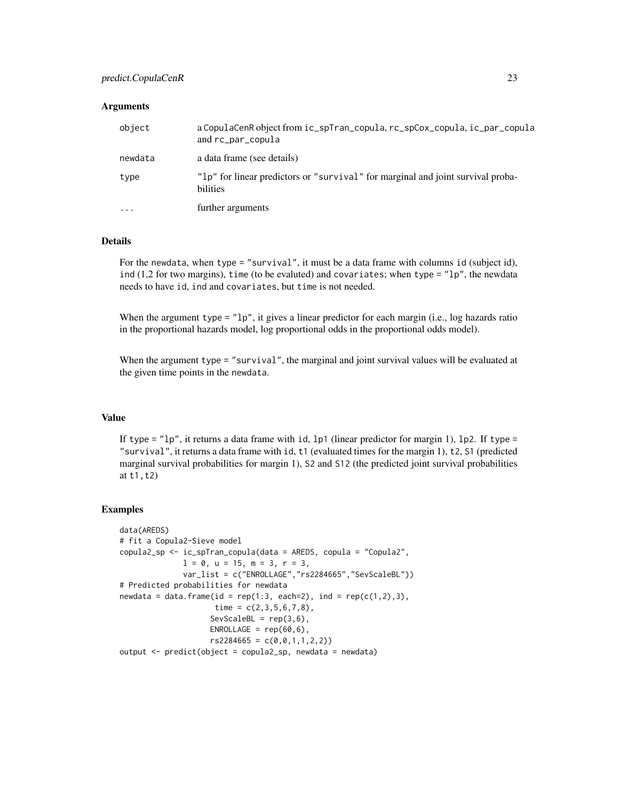## predict.CopulaCenR 23

## Arguments

| object   | a CopulaCenR object from ic_spTran_copula, rc_spCox_copula, ic_par_copula<br>and rc_par_copula |
|----------|------------------------------------------------------------------------------------------------|
| newdata  | a data frame (see details)                                                                     |
| type     | "lp" for linear predictors or "survival" for marginal and joint survival proba-<br>bilities    |
| $\cdots$ | further arguments                                                                              |

## Details

For the newdata, when type = "survival", it must be a data frame with columns id (subject id), ind  $(1,2$  for two margins), time (to be evaluted) and covariates; when type = " $1p$ ", the newdata needs to have id, ind and covariates, but time is not needed.

When the argument type  $=$  " $1p$ ", it gives a linear predictor for each margin (i.e., log hazards ratio in the proportional hazards model, log proportional odds in the proportional odds model).

When the argument type = "survival", the marginal and joint survival values will be evaluated at the given time points in the newdata.

#### Value

If type =  $"lp"$ , it returns a data frame with id, lp1 (linear predictor for margin 1), lp2. If type = "survival", it returns a data frame with id, t1 (evaluated times for the margin 1), t2, S1 (predicted marginal survival probabilities for margin 1), S2 and S12 (the predicted joint survival probabilities at t1,t2)

#### Examples

```
data(AREDS)
# fit a Copula2-Sieve model
copula2_sp <- ic_spTran_copula(data = AREDS, copula = "Copula2",
             1 = 0, u = 15, m = 3, r = 3,
             var_list = c("ENROLLAGE","rs2284665","SevScaleBL"))
# Predicted probabilities for newdata
newdata = data.frame(id = rep(1:3, each=2), ind = rep(c(1,2),3),
                    time = c(2,3,5,6,7,8),
                    SevScaleBL = rep(3,6),ENROLLAGE = rep(60, 6),
                    rs2284665 = c(0,0,1,1,2,2))output <- predict(object = copula2_sp, newdata = newdata)
```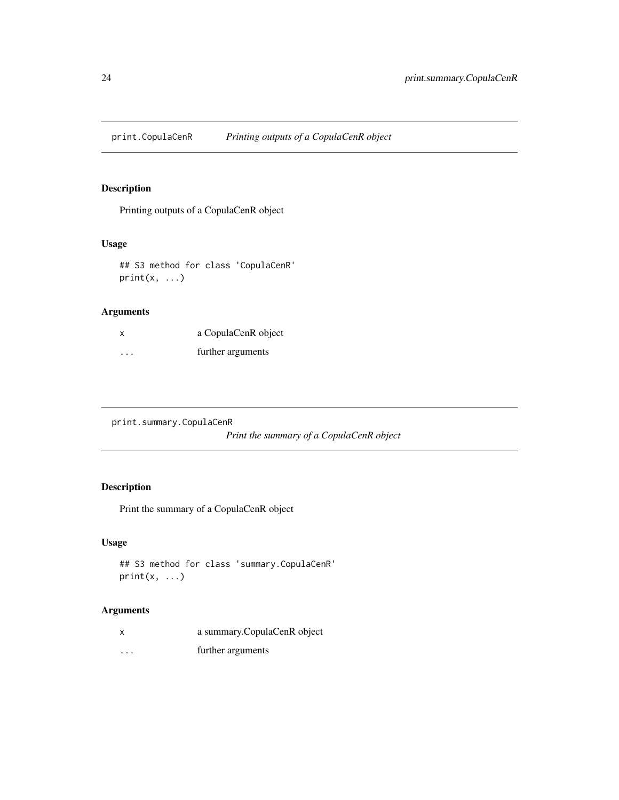<span id="page-23-0"></span>

## Description

Printing outputs of a CopulaCenR object

## Usage

## S3 method for class 'CopulaCenR'  $print(x, \ldots)$ 

## Arguments

| X       | a CopulaCenR object |
|---------|---------------------|
| $\cdot$ | further arguments   |

print.summary.CopulaCenR *Print the summary of a CopulaCenR object*

## Description

Print the summary of a CopulaCenR object

## Usage

```
## S3 method for class 'summary.CopulaCenR'
print(x, \ldots)
```
## Arguments

|          | a summary.CopulaCenR object |
|----------|-----------------------------|
| $\cdots$ | further arguments           |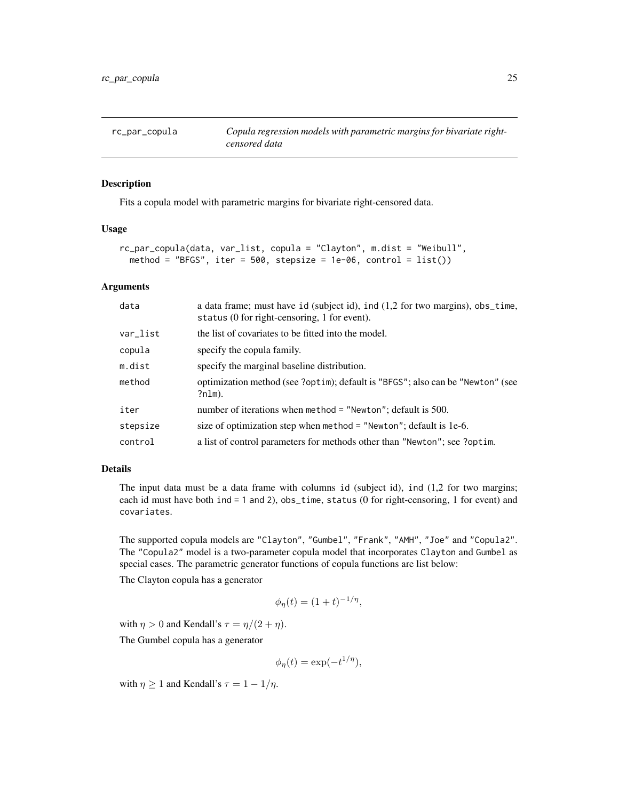<span id="page-24-0"></span>

## Description

Fits a copula model with parametric margins for bivariate right-censored data.

#### Usage

```
rc_par_copula(data, var_list, copula = "Clayton", m.dist = "Weibull",
 method = "BFGS", iter = 500, stepsize = 1e-06, control = list()
```
## Arguments

| data     | a data frame; must have id (subject id), ind (1,2 for two margins), obs_time,<br>status (0 for right-censoring, 1 for event). |
|----------|-------------------------------------------------------------------------------------------------------------------------------|
| var_list | the list of covariates to be fitted into the model.                                                                           |
| copula   | specify the copula family.                                                                                                    |
| m.dist   | specify the marginal baseline distribution.                                                                                   |
| method   | optimization method (see ?optim); default is "BFGS"; also can be "Newton" (see<br>?nlm).                                      |
| iter     | number of iterations when method = "Newton"; default is $500$ .                                                               |
| stepsize | size of optimization step when method $=$ "Newton"; default is 1e-6.                                                          |
| control  | a list of control parameters for methods other than "Newton"; see ?optim.                                                     |

## Details

The input data must be a data frame with columns id (subject id), ind (1,2 for two margins; each id must have both ind = 1 and 2), obs\_time, status (0 for right-censoring, 1 for event) and covariates.

The supported copula models are "Clayton", "Gumbel", "Frank", "AMH", "Joe" and "Copula2". The "Copula2" model is a two-parameter copula model that incorporates Clayton and Gumbel as special cases. The parametric generator functions of copula functions are list below:

The Clayton copula has a generator

$$
\phi_{\eta}(t) = (1+t)^{-1/\eta},
$$

with  $\eta > 0$  and Kendall's  $\tau = \eta/(2 + \eta)$ .

The Gumbel copula has a generator

$$
\phi_{\eta}(t) = \exp(-t^{1/\eta}),
$$

with  $\eta \geq 1$  and Kendall's  $\tau = 1 - 1/\eta$ .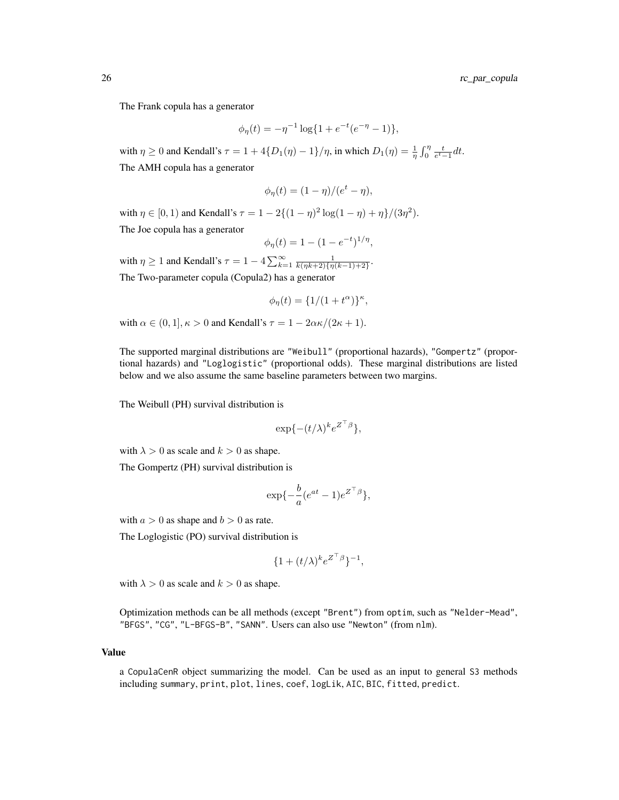The Frank copula has a generator

$$
\phi_{\eta}(t) = -\eta^{-1} \log\{1 + e^{-t}(e^{-\eta} - 1)\},\
$$

with  $\eta \ge 0$  and Kendall's  $\tau = 1 + 4\{D_1(\eta) - 1\}/\eta$ , in which  $D_1(\eta) = \frac{1}{\eta} \int_0^{\eta} \frac{t}{e^t - 1} dt$ . The AMH copula has a generator

$$
\phi_{\eta}(t) = (1 - \eta)/(e^t - \eta),
$$

with  $\eta \in [0, 1)$  and Kendall's  $\tau = 1 - 2\{(1 - \eta)^2 \log(1 - \eta) + \eta\}/(3\eta^2)$ . The Joe copula has a generator

$$
\phi_{\eta}(t) = 1 - (1 - e^{-t})^{1/\eta},
$$

with  $\eta \geq 1$  and Kendall's  $\tau = 1 - 4 \sum_{k=1}^{\infty} \frac{1}{k(\eta k+2)\{\eta(k-1)+2\}}$ . The Two-parameter copula (Copula2) has a generator

$$
\phi_{\eta}(t) = \{1/(1+t^{\alpha})\}^{\kappa},
$$

with  $\alpha \in (0, 1], \kappa > 0$  and Kendall's  $\tau = 1 - 2\alpha \kappa/(2\kappa + 1)$ .

The supported marginal distributions are "Weibull" (proportional hazards), "Gompertz" (proportional hazards) and "Loglogistic" (proportional odds). These marginal distributions are listed below and we also assume the same baseline parameters between two margins.

The Weibull (PH) survival distribution is

$$
\exp\{-(t/\lambda)^k e^{Z^\top\beta}\},
$$

with  $\lambda > 0$  as scale and  $k > 0$  as shape.

The Gompertz (PH) survival distribution is

$$
\exp\{-\frac{b}{a}(e^{at}-1)e^{Z^\top\beta}\},\
$$

with  $a > 0$  as shape and  $b > 0$  as rate.

The Loglogistic (PO) survival distribution is

$$
\{1+(t/\lambda)^k e^{Z^\top\beta}\}^{-1},
$$

with  $\lambda > 0$  as scale and  $k > 0$  as shape.

Optimization methods can be all methods (except "Brent") from optim, such as "Nelder-Mead", "BFGS", "CG", "L-BFGS-B", "SANN". Users can also use "Newton" (from nlm).

#### Value

a CopulaCenR object summarizing the model. Can be used as an input to general S3 methods including summary, print, plot, lines, coef, logLik, AIC, BIC, fitted, predict.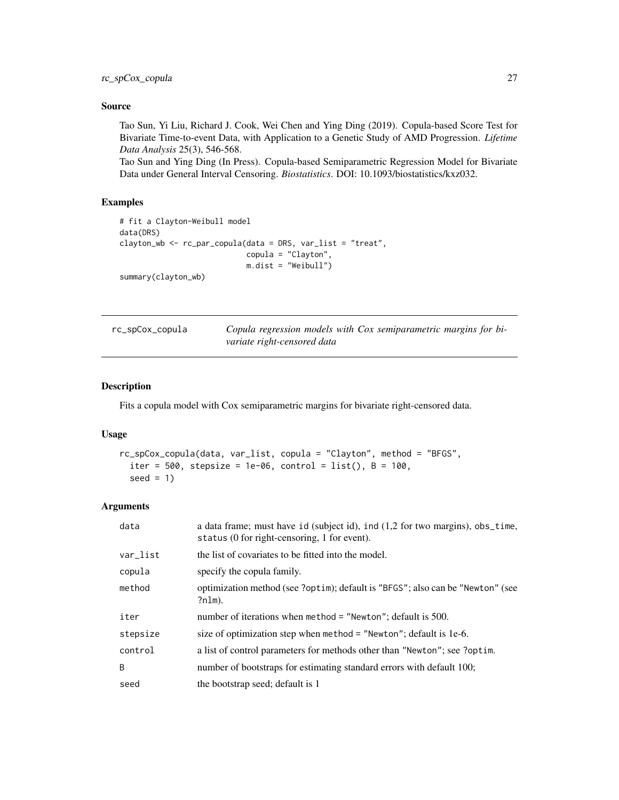## <span id="page-26-0"></span>Source

Tao Sun, Yi Liu, Richard J. Cook, Wei Chen and Ying Ding (2019). Copula-based Score Test for Bivariate Time-to-event Data, with Application to a Genetic Study of AMD Progression. *Lifetime Data Analysis* 25(3), 546-568.

Tao Sun and Ying Ding (In Press). Copula-based Semiparametric Regression Model for Bivariate Data under General Interval Censoring. *Biostatistics*. DOI: 10.1093/biostatistics/kxz032.

## Examples

```
# fit a Clayton-Weibull model
data(DRS)
clayton_wb <- rc_par_copula(data = DRS, var_list = "treat",
                            copula = "Clayton",
                            m.dist = "Weibull")
summary(clayton_wb)
```

| rc_spCox_copula | Copula regression models with Cox semiparametric margins for bi- |
|-----------------|------------------------------------------------------------------|
|                 | variate right-censored data                                      |

#### Description

Fits a copula model with Cox semiparametric margins for bivariate right-censored data.

## Usage

```
rc_spCox_copula(data, var_list, copula = "Clayton", method = "BFGS",
  iter = 500, stepsize = 1e-06, control = list(), B = 100,
  seed = 1)
```
#### Arguments

| data     | a data frame; must have id (subject id), ind (1,2 for two margins), obs_time,<br>status (0 for right-censoring, 1 for event). |
|----------|-------------------------------------------------------------------------------------------------------------------------------|
| var_list | the list of covariates to be fitted into the model.                                                                           |
| copula   | specify the copula family.                                                                                                    |
| method   | optimization method (see ?optim); default is "BFGS"; also can be "Newton" (see<br>$?nlm)$ .                                   |
| iter     | number of iterations when method = "Newton"; default is $500$ .                                                               |
| stepsize | size of optimization step when method = "Newton"; default is 1e-6.                                                            |
| control  | a list of control parameters for methods other than "Newton"; see ?optim.                                                     |
| B        | number of bootstraps for estimating standard errors with default 100;                                                         |
| seed     | the bootstrap seed; default is 1                                                                                              |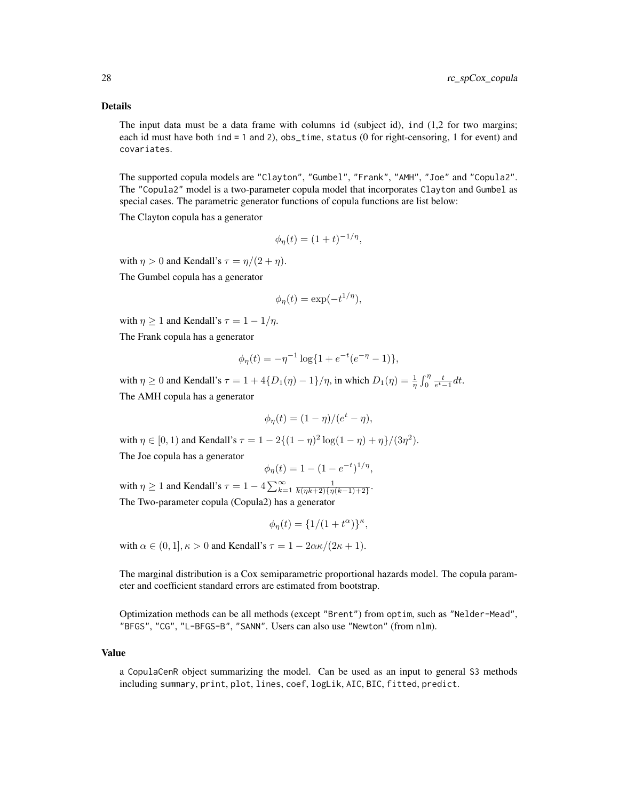#### Details

The input data must be a data frame with columns id (subject id), ind (1,2 for two margins; each id must have both ind = 1 and 2), obs\_time, status (0 for right-censoring, 1 for event) and covariates.

The supported copula models are "Clayton", "Gumbel", "Frank", "AMH", "Joe" and "Copula2". The "Copula2" model is a two-parameter copula model that incorporates Clayton and Gumbel as special cases. The parametric generator functions of copula functions are list below:

The Clayton copula has a generator

$$
\phi_{\eta}(t) = (1+t)^{-1/\eta},
$$

with  $\eta > 0$  and Kendall's  $\tau = \eta/(2 + \eta)$ . The Gumbel copula has a generator

$$
\phi_{\eta}(t) = \exp(-t^{1/\eta}),
$$

with  $\eta \geq 1$  and Kendall's  $\tau = 1 - 1/\eta$ .

The Frank copula has a generator

$$
\phi_{\eta}(t) = -\eta^{-1} \log\{1 + e^{-t}(e^{-\eta} - 1)\},\
$$

with  $\eta \ge 0$  and Kendall's  $\tau = 1 + 4\{D_1(\eta) - 1\}/\eta$ , in which  $D_1(\eta) = \frac{1}{\eta} \int_0^{\eta} \frac{t}{e^t - 1} dt$ . The AMH copula has a generator

$$
\phi_{\eta}(t) = (1 - \eta)/(e^t - \eta),
$$

with  $\eta \in [0, 1)$  and Kendall's  $\tau = 1 - 2\{(1 - \eta)^2 \log(1 - \eta) + \eta\}/(3\eta^2)$ . The Joe copula has a generator

$$
\phi_{\eta}(t) = 1 - (1 - e^{-t})^{1/\eta},
$$

with  $\eta \ge 1$  and Kendall's  $\tau = 1 - 4 \sum_{k=1}^{\infty} \frac{1}{k(\eta k+2)\{\eta(k-1)+2\}}$ . The Two-parameter copula (Copula2) has a generator

$$
\phi_{\eta}(t) = \{1/(1+t^{\alpha})\}^{\kappa},
$$

with  $\alpha \in (0, 1], \kappa > 0$  and Kendall's  $\tau = 1 - 2\alpha \kappa/(2\kappa + 1)$ .

The marginal distribution is a Cox semiparametric proportional hazards model. The copula parameter and coefficient standard errors are estimated from bootstrap.

Optimization methods can be all methods (except "Brent") from optim, such as "Nelder-Mead", "BFGS", "CG", "L-BFGS-B", "SANN". Users can also use "Newton" (from nlm).

#### Value

a CopulaCenR object summarizing the model. Can be used as an input to general S3 methods including summary, print, plot, lines, coef, logLik, AIC, BIC, fitted, predict.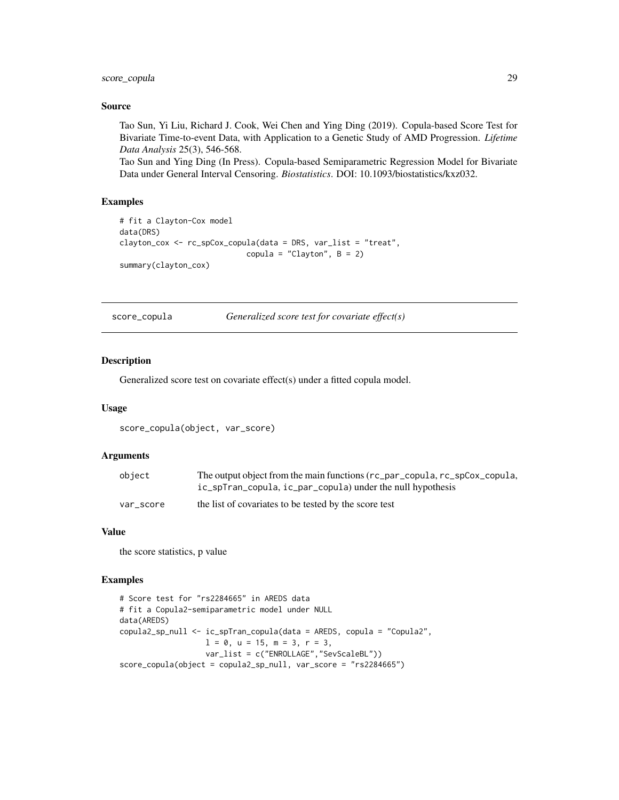<span id="page-28-0"></span>score\_copula 29

#### Source

Tao Sun, Yi Liu, Richard J. Cook, Wei Chen and Ying Ding (2019). Copula-based Score Test for Bivariate Time-to-event Data, with Application to a Genetic Study of AMD Progression. *Lifetime Data Analysis* 25(3), 546-568.

Tao Sun and Ying Ding (In Press). Copula-based Semiparametric Regression Model for Bivariate Data under General Interval Censoring. *Biostatistics*. DOI: 10.1093/biostatistics/kxz032.

#### Examples

```
# fit a Clayton-Cox model
data(DRS)
clayton_cox <- rc_spCox_copula(data = DRS, var_list = "treat",
                            copula = "Clayton", B = 2)
summary(clayton_cox)
```
score\_copula *Generalized score test for covariate effect(s)*

#### Description

Generalized score test on covariate effect(s) under a fitted copula model.

#### Usage

```
score_copula(object, var_score)
```
## Arguments

| object    | The output object from the main functions (rc_par_copula, rc_spCox_copula, |
|-----------|----------------------------------------------------------------------------|
|           | ic_spTran_copula, ic_par_copula) under the null hypothesis                 |
| var score | the list of covariates to be tested by the score test                      |

## Value

the score statistics, p value

#### Examples

```
# Score test for "rs2284665" in AREDS data
# fit a Copula2-semiparametric model under NULL
data(AREDS)
copula2_sp_null <- ic_spTran_copula(data = AREDS, copula = "Copula2",
                  1 = 0, u = 15, m = 3, r = 3,
                  var_list = c("ENROLLAGE","SevScaleBL"))
score_copula(object = copula2_sp_null, var_score = "rs2284665")
```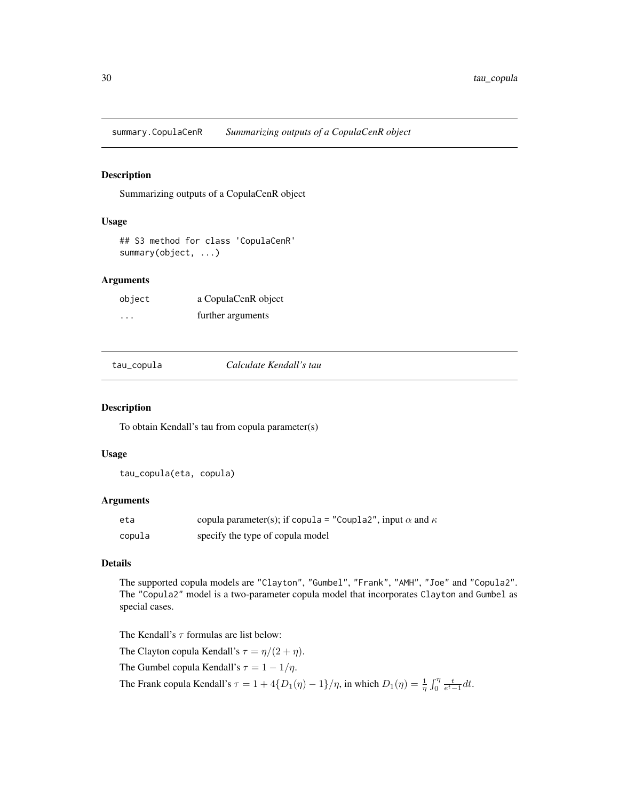<span id="page-29-0"></span>summary.CopulaCenR *Summarizing outputs of a CopulaCenR object*

#### Description

Summarizing outputs of a CopulaCenR object

## Usage

## S3 method for class 'CopulaCenR' summary(object, ...)

## Arguments

| object  | a CopulaCenR object |
|---------|---------------------|
| $\cdot$ | further arguments   |

tau\_copula *Calculate Kendall's tau*

#### Description

To obtain Kendall's tau from copula parameter(s)

## Usage

tau\_copula(eta, copula)

## Arguments

| eta    | copula parameter(s); if copula = "Coupla2", input $\alpha$ and $\kappa$ |
|--------|-------------------------------------------------------------------------|
| copula | specify the type of copula model                                        |

## Details

The supported copula models are "Clayton", "Gumbel", "Frank", "AMH", "Joe" and "Copula2". The "Copula2" model is a two-parameter copula model that incorporates Clayton and Gumbel as special cases.

The Kendall's  $\tau$  formulas are list below: The Clayton copula Kendall's  $\tau = \eta/(2 + \eta)$ . The Gumbel copula Kendall's  $\tau=1-1/\eta.$ 

The Frank copula Kendall's  $\tau = 1 + 4\{D_1(\eta) - 1\}/\eta$ , in which  $D_1(\eta) = \frac{1}{\eta} \int_0^{\eta} \frac{t}{e^t - 1} dt$ .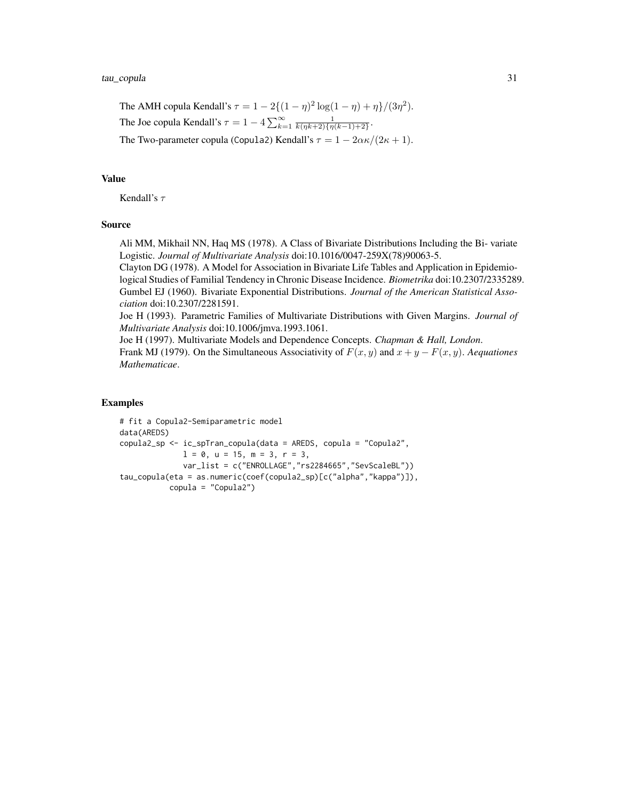The AMH copula Kendall's  $\tau = 1 - 2\{(1 - \eta)^2 \log(1 - \eta) + \eta\}/(3\eta^2)$ . The Joe copula Kendall's  $\tau = 1 - 4 \sum_{k=1}^{\infty} \frac{1}{k(\eta k+2)\{\eta(k-1)+2\}}$ . The Two-parameter copula (Copula2) Kendall's  $\tau = 1 - 2\alpha\kappa/(2\kappa + 1)$ .

## Value

Kendall's  $\tau$ 

## Source

Ali MM, Mikhail NN, Haq MS (1978). A Class of Bivariate Distributions Including the Bi- variate Logistic. *Journal of Multivariate Analysis* doi:10.1016/0047-259X(78)90063-5.

Clayton DG (1978). A Model for Association in Bivariate Life Tables and Application in Epidemiological Studies of Familial Tendency in Chronic Disease Incidence. *Biometrika* doi:10.2307/2335289. Gumbel EJ (1960). Bivariate Exponential Distributions. *Journal of the American Statistical Association* doi:10.2307/2281591.

Joe H (1993). Parametric Families of Multivariate Distributions with Given Margins. *Journal of Multivariate Analysis* doi:10.1006/jmva.1993.1061.

Joe H (1997). Multivariate Models and Dependence Concepts. *Chapman & Hall, London*. Frank MJ (1979). On the Simultaneous Associativity of  $F(x, y)$  and  $x + y - F(x, y)$ . *Aequationes Mathematicae*.

## Examples

```
# fit a Copula2-Semiparametric model
data(AREDS)
copula2_sp <- ic_spTran_copula(data = AREDS, copula = "Copula2",
              1 = 0, u = 15, m = 3, r = 3,
              var_list = c("ENROLLAGE","rs2284665","SevScaleBL"))
tau_copula(eta = as.numeric(coef(copula2_sp)[c("alpha","kappa")]),
           copula = "Copula2")
```